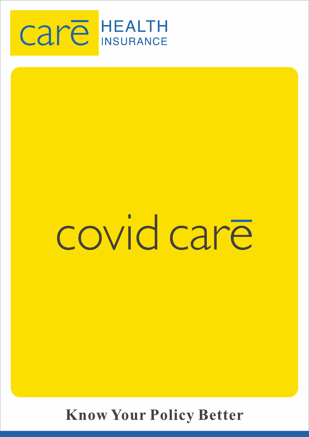

# covid care

**Know Your Policy Better**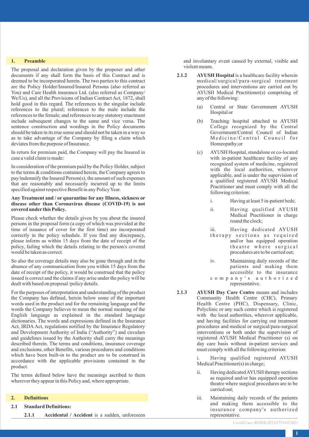#### **1. Preamble**

The proposal and declaration given by the proposer and other documents if any shall form the basis of this Contract and is deemed to be incorporated herein. The two parties to this contract are the Policy Holder/Insured/Insured Persons (also referred as You) and Care Health insurance Ltd. (also referred as Company/ We/Us), and all the Provisions of Indian Contract Act, 1872, shall hold good in this regard. The references to the singular include references to the plural; references to the male include the references to the female; and references to any statutory enactment include subsequent changes to the same and vice versa. The sentence construction and wordings in the Policy documents should be taken in its true sense and should not be taken in a way so as to take advantage of the Company by filing a claim which deviates from the purpose of Insurance.

In return for premium paid, the Company will pay the Insured in case a valid claim is made:

In consideration of the premium paid by the Policy Holder, subject to the terms & conditions contained herein, the Company agrees to pay/indemnify the Insured Person(s), the amount of such expenses that are reasonably and necessarily incurred up to the limits specified against respective Benefit in any Policy Year.

#### **Any Treatment and / or quarantine for any Illness, sickness or disease other than Coronavirus disease (COVID-19) is not covered under this Policy.**

Please check whether the details given by you about the insured persons in the proposal form (a copy of which was provided at the time of issuance of cover for the first time) are incorporated correctly in the policy schedule. If you find any discrepancy, please inform us within 15 days from the date of receipt of the policy, failing which the details relating to the person/s covered would be taken as correct.

So also the coverage details may also be gone through and in the absence of any communication from you within 15 days from the date of receipt of the policy, it would be construed that the policy issued is correct and the claims if any arise under the policy will be dealt with based on proposal /policy details.

For the purposes of interpretation and understanding of the product the Company has defined, herein below some of the important words used in the product and for the remaining language and the words the Company believes to mean the normal meaning of the English language as explained in the standard language dictionaries. The words and expressions defined in the Insurance Act, IRDA Act, regulations notified by the Insurance Regulatory and Development Authority of India ("Authority") and circulars and guidelines issued by the Authority shall carry the meanings described therein. The terms and conditions, insurance coverage and exclusions, other Benefits, various procedures and conditions which have been built-in to the product are to be construed in accordance with the applicable provisions contained in the product.

The terms defined below have the meanings ascribed to them wherever they appear in this Policy and, where appropriate.

#### **2. Definitions**

**2.1 Standard Definitions:**

**2.1.1 Accidental / Accident** is a sudden, unforeseen

and involuntary event caused by external, visible and violent means.

- **2.1.2 AYUSH Hospital** is a healthcare facility wherein medical/surgical/para-surgical treatment procedures and interventions are carried out by AYUSH Medical Practitioner(s) comprising of any of the following:
	- (a) Central or State Government AYUSH Hospital or
	- (b) Teaching hospital attached to AYUSH College recognized by the Central Government/Central Council of Indian Medicine/Central Council for Homeopathy;or
	- (c) AYUSH Hospital, standalone or co-located with in-patient healthcare facility of any recognized system of medicine, registered with the local authorities, wherever applicable, and is under the supervision of a qualified registered AYUSH Medical Practitioner and must comply with all the following criterion:
		- i. Having at least 5 in-patient beds;
		- ii. Having qualified AYUSH Medical Practitioner in charge round the clock;
		- iii. Having dedicated AYUSH
		- therapy sections as required and/or has equipped operation theatre where surgical procedures are to be carried out;
		- iv. Maintaining daily records of the patients and making them accessible to the insurance
		- c o m p a n y ' s a u t h o r i z e d representative.
- **2.1.3 AYUSH Day Care Centre** means and includes Community Health Centre (CHC), Primary Health Centre (PHC), Dispensary, Clinic, Polyclinic or any such centre which is registered with the local authorities, wherever applicable, and having facilities for carrying out treatment procedures and medical or surgical/para-surgical interventions or both under the supervision of registered AYUSH Medical Practitioner (s) on day care basis without in-patient services and must comply with all the following criterion:

Having qualified registered AYUSH Medical Practitioner(s) in charge;

- ii. Having dedicated AYUSH therapy sections as required and/or has equipped operation theatre where surgical procedures are to be carried out;
- iii. Maintaining daily records of the patients and making them accessible to the insurance company's authorized representative.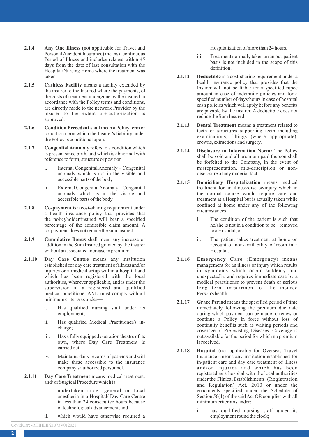- **2.1.4 Any One Illness** (not applicable for Travel and Personal Accident Insurance) means a continuous Period of Illness and includes relapse within 45 days from the date of last consultation with the Hospital/Nursing Home where the treatment was taken.
- **2.1.5 Cashless Facility** means a facility extended by the insurer to the Insured where the payments, of the costs of treatment undergone by the insured in accordance with the Policy terms and conditions, are directly made to the network Provider by the insurer to the extent pre-authorization is approved.
- **2.1.6 Condition Precedent**shall mean a Policy term or condition upon which the Insurer's liability under the Policy is conditional upon.
- **2.1.7 Congenital Anomaly** refers to a condition which is present since birth, and which is abnormal with reference to form, structure or position :
	- i. Internal Congenital Anomaly Congenital anomaly which is not in the visible and accessible parts of the body
	- ii. External Congenital Anomaly Congenital anomaly which is in the visible and accessible parts of the body
- **2.1.8 Co-payment** is a cost-sharing requirement under a health insurance policy that provides that the policyholder/insured will bear a specified percentage of the admissible claim amount. A co-payment does not reduce the sum insured.
- **2.1.9 Cumulative Bonus** shall mean any increase or addition in the Sum Insured granted by the insurer without an associated increase in premium.
- **2.1.10 Day Care Centre** means any institution established for day care treatment of illness and/or injuries or a medical setup within a hospital and which has been registered with the local authorities, wherever applicable, and is under the supervision of a registered and qualified medical practitioner AND must comply with all minimum criteria as under
	- i. Has qualified nursing staff under its employment;
	- ii. Has qualified Medical Practitioner/s incharge;
	- iii. Has a fully equipped operation theatre of its own, where Day Care Treatment is carried out.
	- iv. Maintains daily records of patients and will make these accessible to the insurance company's authorized personnel.
- **2.1.11 Day Care Treatment** means medical treatment, and/ or Surgical Procedure which is:
	- i. undertaken under general or local anesthesia in a Hospital/ Day Care Centre in less than 24 consecutive hours because of technological advancement, and
	- ii. which would have otherwise required a

Hospitalization of more than 24 hours.

- iii. Treatment normally taken on an out-patient basis is not included in the scope of this definition.
- **2.1.12 Deductible** is a cost-sharing requirement under a health insurance policy that provides that the Insurer will not be liable for a specified rupee amount in case of indemnity policies and for a specified number of days/hours in case of hospital cash policies which will apply before any benefits are payable by the insurer. A deductible does not reduce the Sum Insured.
- **2.1.13 Dental Treatment** means a treatment related to teeth or structures supporting teeth including examinations, fillings (where appropriate), crowns, extractions and surgery.
- **2.1.14 Disclosure to Information Norm:** The Policy shall be void and all premium paid thereon shall be forfeited to the Company, in the event of misrepresentation, mis-description or nondisclosure of any material fact.
- **2.1.15 Domiciliary Hospitalization** means medical treatment for an illness/disease/injury which in the normal course would require care and treatment at a Hospital but is actually taken while confined at home under any of the following circumstances:
	- i. The condition of the patient is such that he/she is not in a condition to be removed to a Hospital, or
	- ii. The patient takes treatment at home on account of non-availability of room in a Hospital.
- **2.1.16 Emergency Care** (Emergency) means management for an illness or injury which results in symptoms which occur suddenly and unexpectedly, and requires immediate care by a medical practitioner to prevent death or serious long term impairment of the insured Person's health.
- **2.1.17 Grace Period** means the specified period of time immediately following the premium due date during which payment can be made to renew or continue a Policy in force without loss of continuity benefits such as waiting periods and coverage of Pre-existing Diseases. Coverage is not available for the period for which no premium is received.
- **2.1.18 Hospital** (not applicable for Overseas Travel Insurance) means any institution established for in-patient care and day care treatment of illness and/or injuries and which has been registered as a hospital with the local authorities under the Clinical Establishments (Registration and Regulation) Act, 2010 or under the enactments specified under the Schedule of Section 56(1) of the said Act OR complies with all minimum criteria as under:
	- i. has qualified nursing staff under its employment round the clock;

Covid Care -RHIHLIP21073V012021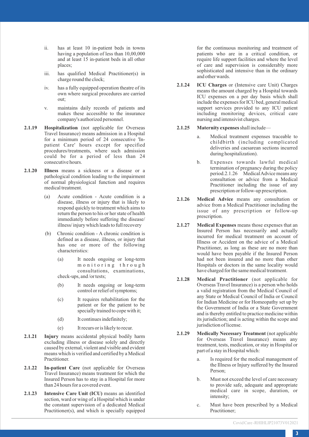- ii. has at least 10 in-patient beds in towns having a population of less than 10,00,000 and at least 15 in-patient beds in all other places;
- iii. has qualified Medical Practitioner(s) in charge round the clock;
- iv. has a fully equipped operation theatre of its own where surgical procedures are carried out;
- v. maintains daily records of patients and makes these accessible to the insurance company's authorized personnel.
- **2.1.19 Hospitalization** (not applicable for Overseas Travel Insurance) means admission in a Hospital for a minimum period of 24 consecutive 'Inpatient Care' hours except for specified procedures/treatments, where such admission could be for a period of less than 24 consecutive hours.
- **2.1.20 Illness** means a sickness or a disease or a pathological condition leading to the impairment of normal physiological function and requires medical treatment.
	- (a) Acute condition Acute condition is a disease, illness or injury that is likely to respond quickly to treatment which aims to return the person to his or her state of health immediately before suffering the disease/ illness/ injury which leads to full recovery
	- (b) Chronic condition A chronic condition is defined as a disease, illness, or injury that has one or more of the following characteristics:
		- (a) It needs ongoing or long-term m o n i t o r i n g t h r o u g h consultations, examinations, check-ups, and /or tests;
		- (b) It needs ongoing or long-term control or relief of symptoms;
		- (c) It requires rehabilitation for the patient or for the patient to be specially trained to cope with it;
		- (d) It continues indefinitely;
		- (e) It recurs or is likely to recur.
- **2.1.21 Injury** means accidental physical bodily harm excluding illness or disease solely and directly caused by external, violent and visible and evident means which is verified and certified by a Medical Practitioner.
- **2.1.22 In-patient Care** (not applicable for Overseas Travel Insurance) means treatment for which the Insured Person has to stay in a Hospital for more than 24 hours for a covered event.
- **2.1.23 Intensive Care Unit (ICU)** means an identified section, ward or wing of a Hospital which is under the constant supervision of a dedicated Medical Practitioner(s), and which is specially equipped

for the continuous monitoring and treatment of patients who are in a critical condition, or require life support facilities and where the level of care and supervision is considerably more sophisticated and intensive than in the ordinary and other wards.

- **2.1.24 ICU Charges** or (Intensive care Unit) Charges means the amount charged by a Hospital towards ICU expenses on a per day basis which shall include the expenses for ICU bed, general medical support services provided to any ICU patient including monitoring devices, critical care nursing and intensivist charges.
- **2.1.25 Maternity expenses**shall include
	- a. Medical treatment expenses traceable to childbirth (including complicated deliveries and caesarean sections incurred during hospitalization).
	- b. Expenses towards lawful medical termination of pregnancy during the policy period.2.1.26 Medical Advice means any consultation or advice from a Medical Practitioner including the issue of any prescription or follow-up prescription.
- **2.1.26 Medical Advice** means any consultation or advice from a Medical Practitioner including the issue of any prescription or follow-up prescription.
- **2.1.27 Medical Expenses** means those expenses that an Insured Person has necessarily and actually incurred for medical treatment on account of Illness or Accident on the advice of a Medical Practitioner, as long as these are no more than would have been payable if the Insured Person had not been insured and no more than other Hospitals or doctors in the same locality would have charged for the same medical treatment.
- **2.1.28 Medical Practitioner** (not applicable for Overseas Travel Insurance) is a person who holds a valid registration from the Medical Council of any State or Medical Council of India or Council for Indian Medicine or for Homeopathy set up by the Government of India or a State Government and is thereby entitled to practice medicine within its jurisdiction; and is acting within the scope and jurisdiction of license.
- **2.1.29 Medically Necessary Treatment** (not applicable for Overseas Travel Insurance) means any treatment, tests, medication, or stay in Hospital or part of a stay in Hospital which:
	- a. Is required for the medical management of the Illness or Injury suffered by the Insured Person;
	- b. Must not exceed the level of care necessary to provide safe, adequate and appropriate medical care in scope, duration, or intensity;
	- c. Must have been prescribed by a Medical Practitioner;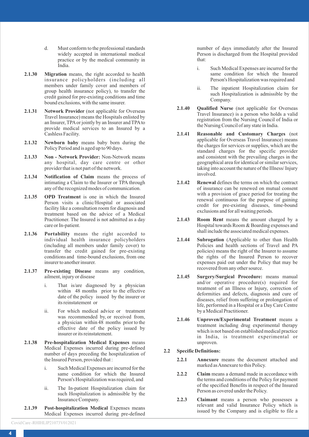- d. Must conform to the professional standards widely accepted in international medical practice or by the medical community in India.
- **2.1.30 Migration** means, the right accorded to health insurance policyholders (including all members under family cover and members of group health insurance policy), to transfer the credit gained for pre-existing conditions and time bound exclusions, with the same insurer.
- **2.1.31 Network Provider** (not applicable for Overseas Travel Insurance) means the Hospitals enlisted by an Insurer, TPAor jointly by an Insurer and TPAto provide medical services to an Insured by a Cashless Facility.
- **2.1.32 Newborn baby** means baby born during the Policy Period and is aged up to 90 days.
- **2.1.33 Non Network Provider:** Non-Network means any hospital, day care centre or other provider that is not part of the network.
- **2.1.34 Notification of Claim** means the process of intimating a Claim to the Insurer or TPA through any of the recognized modes of communication.
- **2.1.35 OPD Treatment** is one in which the Insured Person visits a clinic/Hospital or associated facility like a consultation room for diagnosis and treatment based on the advice of a Medical Practitioner. The Insured is not admitted as a day care or In-patient.
- **2.1.36 Portability** means the right accorded to individual health insurance policyholders (including all members under family cover) to transfer the credit gained for pre-existing conditions and time-bound exclusions, from one insurer to another insurer.
- **2.1.37 Pre-existing Disease** means any condition, ailment, injury or disease
	- i. That is/are diagnosed by a physician within 48 months prior to the effective date of the policy issued by the insurer or its reinstatement or
	- ii. For which medical advice or treatment was recommended by, or received from, a physician within 48 months prior to the effective date of the policy issued by insurer or its reinstatement.
- **2.1.38 Pre-hospitalization Medical Expenses** means Medical Expenses incurred during pre-defined number of days preceding the hospitalization of the Insured Person, provided that :
	- i. Such Medical Expenses are incurred for the same condition for which the Insured Person's Hospitalization was required, and
	- ii. The In-patient Hospitalization claim for such Hospitalization is admissible by the Insurance Company.
- **2.1.39 Post-hospitalization Medical** Expenses means Medical Expenses incurred during pre-defined

number of days immediately after the Insured Person is discharged from the Hospital provided that:

- Such Medical Expenses are incurred for the same condition for which the Insured Person's Hospitalization was required and
- ii. The inpatient Hospitalization claim for such Hospitalization is admissible by the Company.
- **2.1.40 Qualified Nurse** (not applicable for Overseas Travel Insurance) is a person who holds a valid registration from the Nursing Council of India or the Nursing Council of any state in India.
- **2.1.41 Reasonable and Customary Charges** (not applicable for Overseas Travel Insurance) means the charges for services or supplies, which are the standard charges for the specific provider and consistent with the prevailing charges in the geographical area for identical or similar services, taking into account the nature of the Illness/ Injury involved.
- **2.1.42 Renewal** defines the terms on which the contract of insurance can be renewed on mutual consent with a provision of grace period for treating the renewal continuous for the purpose of gaining credit for pre-existing diseases, time-bound exclusions and for all waiting periods.
- **2.1.43 Room Rent** means the amount charged by a Hospital towards Room & Boarding expenses and shall include the associated medical expenses.
- **2.1.44 Subrogation** (Applicable to other than Health Policies and health sections of Travel and PA policies) means the right of the Insurer to assume the rights of the Insured Person to recover expenses paid out under the Policy that may be recovered from any other source.
- **2.1.45 Surgery/Surgical Procedure:** means manual and/or operative procedure(s) required for treatment of an Illness or Injury, correction of deformities and defects, diagnosis and cure of diseases, relief from suffering or prolongation of life, performed in a Hospital or a Day Care Centre by a Medical Practitioner.
- **2.1.46 Unproven/Experimental Treatment** means a treatment including drug experimental therapy which is not based on established medical practice in India, is treatment experimental or unproven.

## **2.2 Specific Definitions:**

- **2.2.1 Annexure** means the document attached and marked as Annexure to this Policy.
- **2.2.2 Claim** means a demand made in accordance with the terms and conditions of the Policy for payment of the specified Benefits in respect of the Insured Person as covered under the Policy.
- **2.2.3 Claimant** means a person who possesses a relevant and valid Insurance Policy which is issued by the Company and is eligible to file a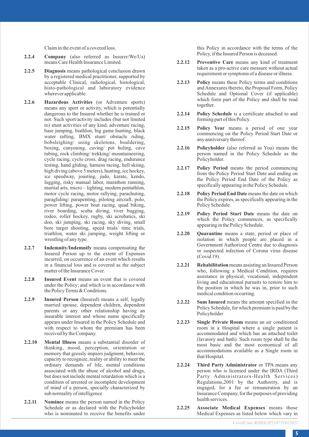Claim in the event of a covered loss.

- **2.2.4 Company** (also referred as Insurer/We/Us) means Care Health Insurance Limited.
- **2.2.5 Diagnosis** means pathological conclusion drawn by a registered medical practitioner, supported by acceptable Clinical, radiological, histological, histo-pathological and laboratory evidence wherever applicable.
- **2.2.6 Hazardous Activities** (or Adventure sports) means any sport or activity, which is potentially dangerous to the Insured whether he is trained or not. Such sport/activity includes (but not limited to) stunt activities of any kind, adventure racing, base jumping, biathlon, big game hunting, black water rafting, BMX stunt/ obstacle riding, bobsleighing/ using skeletons, bouldering, boxing, canyoning, caving/ pot holing, cave tubing, rock climbing/ trekking/ mountaineering, cycle racing, cyclo cross, drag racing, endurance testing, hand gliding, harness racing, hell skiing, high diving (above 5 meters), hunting, ice hockey, ice speedway, jousting, judo, karate, kendo, lugging, risky manual labor, marathon running, martial arts, micro – lighting, modern pentathlon, motor cycle racing, motor rallying, parachuting, paragliding/ parapenting, piloting aircraft, polo, power lifting, power boat racing, quad biking, river boarding, scuba diving, river bugging, rodeo, roller hockey, rugby, ski acrobatics, ski doo, ski jumping, ski racing, sky diving, small bore target shooting, speed trials/ time trials, triathlon, water ski jumping, weight lifting or wrestling of any type.
- **2.2.7 Indemnity/Indemnify** means compensating the Insured Person up to the extent of Expenses incurred, on occurrence of an event which results in a financial loss and is covered as the subject matter of the Insurance Cover.
- **2.2.8 Insured Event** means an event that is covered under the Policy; and which is in accordance with the Policy Terms & Conditions.
- **2.2.9 Insured Person** (Insured) means a self, legally married spouse, dependent children, dependent parents or any other relationship having an insurable interest and whose name specifically appears under Insured in the Policy Schedule and with respect to whom the premium has been received by the Company.
- **2.2.10 Mental Illness** means a substantial disorder of thinking, mood, perception, orientation or memory that grossly impairs judgment, behavior, capacity to recognize, reality or ability to meet the ordinary demands of life, mental conditions associated with the abuse of alcohol and drugs, but does not include mental retardation which is a condition of arrested or incomplete development of mind of a person, specially characterized by sub normality of intelligence
- **2.2.11 Nominee** means the person named in the Policy Schedule or as declared with the Policyholder who is nominated to receive the benefits under

this Policy in accordance with the terms of the Policy, if the Insured Person is deceased.

- **2.2.12 Preventive Care** means any kind of treatment taken as a pro-active care measure without actual requirement or symptoms of a disease or illness.
- **2.2.13 Policy** means these Policy terms and conditions and Annexures thereto, the Proposal Form, Policy Schedule and Optional Cover (if applicable) which form part of the Policy and shall be read together.
- **2.2.14 Policy Schedule** is a certificate attached to and forming part of this Policy.
- **2.2.15 Policy Year** means a period of one year commencing on the Policy Period Start Date or any anniversary thereof.
- **2.2.16 Policyholder** (also referred as You) means the person named in the Policy Schedule as the Policyholder.
- **2.2.17 Policy Period** means the period commencing from the Policy Period Start Date and ending on the Policy Period End Date of the Policy as specifically appearing in the Policy Schedule.
- **2.2.18 Policy Period End Date** means the date on which the Policy expires, as specifically appearing in the Policy Schedule.
- **2.2.19 Policy Period Start Date** means the date on which the Policy commences, as specifically appearing in the Policy Schedule.
- **2.2.20 Quarantine** means a state, period or place of isolation in which people are placed in a Government Authorized Centre due to diagnosis or suspected infection of Corona virus disease (Covid 19).
- **2.2.21 Rehabilitation**means assisting an Insured Person who, following a Medical Condition, requires assistance in physical, vocational, independent living and educational pursuits to restore him to the position in which he was in, prior to such medical condition occurring.
- **2.2.22 Sum Insured** means the amount specified in the Policy Schedule, for which premium is paid by the Policyholder
- **2.2.23 Single Private Room** means an air conditioned room in a Hospital where a single patient is accommodated and which has an attached toilet (lavatory and bath). Such room type shall be the most basic and the most economical of all accommodations available as a Single room in that Hospital.
- **2.2.24 Third Party Administrator** or TPA means any person who is licensed under the IRDA (Third Party Administrators-Health Services) Regulations,2001 by the Authority, and is engaged, for a fee or remuneration by an Insurance Company, for the purposes of providing health services.
- **2.2.25 Associate Medical Expenses** means those Medical Expenses as listed below which vary in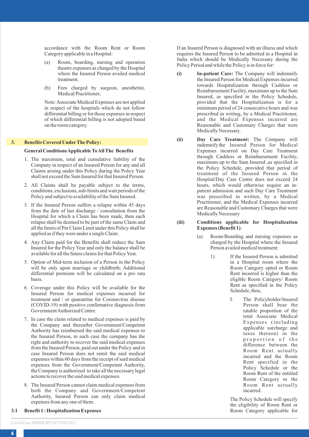accordance with the Room Rent or Room Category applicable in a Hospital:

- (a) Room, boarding, nursing and operation theatre expenses as charged by the Hospital where the Insured Person availed medical treatment;
- (b) Fees charged by surgeon, anesthetist, Medical Practitioner;

Note: Associate Medical Expenses are not applied in respect of the hospitals which do not follow differential billing or for those expenses in respect of which differential billing is not adopted based on the room category.

## **3. Benefits Covered UnderThe Policy:**

#### **General Conditions Applicable To All The Benefits**

- 1. The maximum, total and cumulative liability of the Company in respect of an Insured Person for any and all Claims arising under this Policy during the Policy Year shall not exceed the Sum Insured for that Insured Person.
- 2. All Claims shall be payable subject to the terms, conditions, exclusions, sub-limits and wait periods of the Policy and subject to availability of the Sum Insured.
- 3. If the Insured Person suffers a relapse within 45 days from the date of last discharge / consultation from the Hospital for which a Claim has been made, then such relapse shall be deemed to be part of the same Claim and all the limits of Per Claim Limit under this Policy shall be applied as if they were under a single Claim.
- 4. Any Claim paid for the Benefits shall reduce the Sum Insured for the Policy Year and only the balance shall be available for all the future claims for that Policy Year.
- 5. Option of Mid-term inclusion of a Person in the Policy will be only upon marriage or childbirth; Additional differential premium will be calculated on a pro rata basis.
- 6. Coverage under this Policy will be available for the Insured Person for medical expenses incurred for treatment and / or quarantine for Coronavirus disease (COVID-19) with positive confirmative diagnosis from Government Authorized Centre.
- 7. In case the claim related to medical expenses is paid by the Company and thereafter Government/Competent Authority has reimbursed the said medical expenses to the Insured Person, in such case the company has the right and authority to recover the said medical expenses from the Insured Person, paid out under the Policy and in case Insured Person does not remit the said medical expenses within 60 days from the receipt of said medical expenses from the Government/Competent Authority, the Company is authorized to take all the necessary legal actions to recover the said medical expenses.
- 8. The Insured Person cannot claim medical expenses from both the Company and Government/Competent Authority, Insured Person can only claim medical expenses from any one of them.
- **3.1 Benefit 1 : Hospitalization Expenses**

If an Insured Person is diagnosed with an illness and which requires the Insured Person to be admitted in a Hospital in India which should be Medically Necessary during the Policy Period and while the Policy is in force for:

- **(i) In-patient Care:** The Company will indemnify the Insured Person for Medical Expenses incurred towards Hospitalization through Cashless or Reimbursement Facility, maximum up to the Sum Insured, as specified in the Policy Schedule, provided that the Hospitalization is for a minimum period of 24 consecutive hours and was prescribed in writing, by a Medical Practitioner, and the Medical Expenses incurred are Reasonable and Customary Charges that were Medically Necessary.
- **(ii) Day Care Treatment:** The Company will indemnify the Insured Person for Medical Expenses incurred on Day Care Treatment through Cashless or Reimbursement Facility, maximum up to the Sum Insured ,as specified in the Policy Schedule, provided that period of treatment of the Insured Person in the Hospital/Day Care Centre does not exceed 24 hours, which would otherwise require an inpatient admission and such Day Care Treatment was prescribed in written, by a Medical Practitioner, and the Medical Expenses incurred are Reasonable and Customary Charges that were Medically Necessary

#### **(iii) Conditions applicable for Hospitalization Expenses (Benefit 1)**:

- (a) Room/Boarding and nursing expenses as charged by the Hospital where the Insured Person availed medical treatment:
	- 1) If the Insured Person is admitted in a Hospital room where the Room Category opted or Room Rent incurred is higher than the eligible Room Category/ Room Rent as specified in the Policy Schedule, then,
		- I. The Policyholder/Insured Person shall bear the ratable proportion of the total Associate Medical Expenses (including applicable surcharge and taxes thereon) in the proportion of the difference between the Room Rent actually incurred and the Room Rent specified in the Policy Schedule or the Room Rent of the entitled Room Category to the Room Rent actually incurred.

The Policy Schedule will specify the eligibility of Room Rent or Room Category applicable for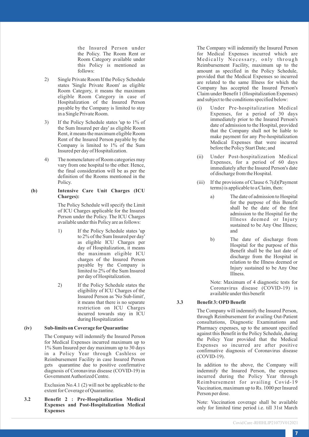the Insured Person under the Policy. The Room Rent or Room Category available under this Policy is mentioned as follows:

- 2) Single Private Room If the Policy Schedule states 'Single Private Room' as eligible Room Category, it means the maximum eligible Room Category in case of Hospitalization of the Insured Person payable by the Company is limited to stay in a Single Private Room.
- 3) If the Policy Schedule states 'up to 1% of the Sum Insured per day' as eligible Room Rent, it means the maximum eligible Room Rent of the Insured Person payable by the Company is limited to 1% of the Sum Insured per day of Hospitalization.
- 4) The nomenclature of Room categories may vary from one hospital to the other. Hence, the final consideration will be as per the definition of the Rooms mentioned in the Policy.

#### **(b) Intensive Care Unit Charges (ICU Charges):**

The Policy Schedule will specify the Limit of ICU Charges applicable for the Insured Person under the Policy. The ICU Charges available under this Policy are as follows:

- 1) If the Policy Schedule states 'up to 2% of the Sum Insured per day' as eligible ICU Charges per day of Hospitalization, it means the maximum eligible ICU charges of the Insured Person payable by the Company is limited to 2% of the Sum Insured per day of Hospitalization.
- 2) If the Policy Schedule states the eligibility of ICU Charges of the Insured Person as 'No Sub-limit', it means that there is no separate restriction on ICU Charges incurred towards stay in ICU during Hospitalization

## **(iv) Sub-limits on Coverage forQuarantine**

The Company will indemnify the Insured Person for Medical Expenses incurred maximum up to 1% Sum Insured per day maximum up to 30 days in a Policy Year through Cashless or Reimbursement Facility in case Insured Person gets quarantine due to positive confirmative diagnosis of Coronavirus disease (COVID-19) in Government Authorized Centre.

Exclusion No.4.1 (2) will not be applicable to the extent for Coverage of Quarantine.

**3.2 Benefit 2 : Pre-Hospitalization Medical Expenses and Post-Hospitalization Medical Expenses**

The Company will indemnify the Insured Person for Medical Expenses incurred which are Medically Necessary, only through Reimbursement Facility, maximum up to the amount as specified in the Policy Schedule, provided that the Medical Expenses so incurred are related to the same Illness for which the Company has accepted the Insured Person's Claim under Benefit 1 (Hospitalization Expenses) and subject to the conditions specified below:

- (i) Under Pre-hospitalization Medical Expenses, for a period of 30 days immediately prior to the Insured Person's date of admission to the Hospital, provided that the Company shall not be liable to make payment for any Pre-hospitalization Medical Expenses that were incurred before the Policy Start Date; and
- (ii) Under Post-hospitalization Medical Expenses, for a period of 60 days immediately after the Insured Person's date of discharge from the Hospital.
- (iii) If the provisions of Clause 6.7(d)(Payment terms) is applicable to a Claim, then:
	- a) The date of admission to Hospital for the purpose of this Benefit shall be the date of the first admission to the Hospital for the Illness deemed or Injury sustained to be Any One Illness; and
	- b) The date of discharge from Hospital for the purpose of this Benefit shall be the last date of discharge from the Hospital in relation to the Illness deemed or Injury sustained to be Any One Illness.

Note: Maximum of 4 diagnostic tests for Coronavirus disease (COVID-19) is available under this benefit

## **3.3 Benefit 3: OPD Benefit**

The Company will indemnify the Insured Person, through Reimbursement for availing Out-Patient consultations, Diagnostic Examinations and Pharmacy expenses, up to the amount specified against this Benefit in the Policy Schedule, during the Policy Year provided that the Medical Expenses so incurred are after positive confirmative diagnosis of Coronavirus disease (COVID-19).

In addition to the above, the Company will indemnify the Insured Person, the expenses incurred during the Policy Year through Reimbursement for availing Covid-19 Vaccination, maximum up to Rs. 1000 per Insured Person per dose.

Note: Vaccination coverage shall be available only for limited time period i.e. till 31st March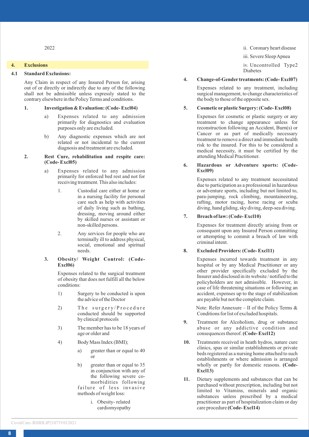## **4. Exclusions**

## **4.1 Standard Exclusions:**

Any Claim in respect of any Insured Person for, arising out of or directly or indirectly due to any of the following shall not be admissible unless expressly stated to the contrary elsewhere in the Policy Terms and conditions.

#### **1. Investigation & Evaluation: (Code- Excl04)**

- a) Expenses related to any admission primarily for diagnostics and evaluation purposes only are excluded.
- b) Any diagnostic expenses which are not related or not incidental to the current diagnosis and treatment are excluded.

## **2. Rest Cure, rehabilitation and respite care: (Code- Excl05)**

- a) Expenses related to any admission primarily for enforced bed rest and not for receiving treatment. This also includes:
	- 1. Custodial care either at home or in a nursing facility for personal care such as help with activities of daily living such as bathing, dressing, moving around either by skilled nurses or assistant or non-skilled persons.
	- 2. Any services for people who are terminally ill to address physical, social, emotional and spiritual needs.

#### **3. Obesity/ Weight Control: (Code-Excl06)**

Expenses related to the surgical treatment of obesity that does not fulfill all the below conditions:

- 1) Surgery to be conducted is upon the advice of the Doctor
- 2) The surgery/Procedure conducted should be supported by clinical protocols
- 3) The member has to be 18 years of age or older and
- 4) Body Mass Index (BMI);
	- a) greater than or equal to 40 or
	- b) greater than or equal to 35 in conjunction with any of the following severe comorbidities following failure of less invasive methods of weight loss:
		- i. Obesity- related cardiomyopathy

ii. Coronary heart disease

iii. Severe Sleep Apnea

iv. Uncontrolled Type2 Diabetes

## **4. Change-of-Gender treatments: (Code- Excl07)**

Expenses related to any treatment, including surgical management, to change characteristics of the body to those of the opposite sex.

#### **5. Cosmetic orplastic Surgery: (Code- Excl08)**

Expenses for cosmetic or plastic surgery or any treatment to change appearance unless for reconstruction following an Accident, Burn(s) or Cancer or as part of medically necessary treatment to remove a direct and immediate health risk to the insured. For this to be considered a medical necessity, it must be certified by the attending Medical Practitioner.

#### **6. Hazardous or Adventure sports: (Code-Excl09)**

Expenses related to any treatment necessitated due to participation as a professional in hazardous or adventure sports, including but not limited to, para-jumping, rock climbing, mountaineering, rafting, motor racing, horse racing or scuba diving, hand gliding, sky diving, deep-sea diving.

#### **7. Breach of law: (Code- Excl10)**

Expenses for treatment directly arising from or consequent upon any Insured Person committing or attempting to commit a breach of law with criminal intent.

## **8. Excluded Providers: (Code- Excl11)**

Expenses incurred towards treatment in any hospital or by any Medical Practitioner or any other provider specifically excluded by the Insurer and disclosed in its website / notified to the policyholders are not admissible. However, in case of life threatening situations or following an accident, expenses up to the stage of stabilization are payable but not the complete claim.

Note: Refer Annexure – II of the Policy Terms & Conditions for list of excluded hospitals.

- **9.** Treatment for Alcoholism, drug or substance abuse or any addictive condition and consequences thereof. **(Code- Excl12)**
- **10.** Treatments received in heath hydros, nature cure clinics, spas or similar establishments or private beds registered as a nursing home attached to such establishments or where admission is arranged wholly or partly for domestic reasons. **(Code-Excl13)**
- **11.** Dietary supplements and substances that can be purchased without prescription, including but not limited to Vitamins, minerals and organic substances unless prescribed by a medical practitioner as part of hospitalization claim or day care procedure **(Code- Excl14)**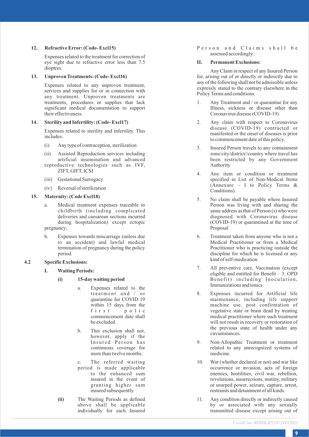#### **12. Refractive Error: (Code- Excl15)**

Expenses related to the treatment for correction of eye sight due to refractive error less than 7.5 dioptres.

## **13. Unproven Treatments: (Code- Excl16)**

Expenses related to any unproven treatment, services and supplies for or in connection with any treatment. Unproven treatments are treatments, procedures or supplies that lack significant medical documentation to support their effectiveness.

#### **14. Sterility and Infertility: (Code- Excl17)**

Expenses related to sterility and infertility. This includes:

- (i) Any type of contraception, sterilization
- (ii) Assisted Reproduction services including artificial insemination and advanced reproductive technologies such as IVF,
- ZIFT, GIFT, ICSI
- (iii) Gestational Surrogacy
- (iv) Reversal of sterilization

## **15. Maternity: (Code Excl18)**

- a. Medical treatment expenses traceable to childbirth (including complicated during hospitalization) except ectopic pregnancy;
- b. Expenses towards miscarriage (unless due to an accident) and lawful medical termination of pregnancy during the policy period.

## **4.2 Specific Exclusions:**

- **I. Waiting Periods:**
	- **(i) 15-day waiting period**
		- a. Expenses related to the treatment and  $/$  or quarantine for COVID 19 within  $15$  days from the f i r s t p o l i c commencement date shall be excluded.
		- b. This exclusion shall not, however, apply if the Insured Person has continuous coverage for more than twelve months.
		- c. The referred waiting period is made applicable to the enhanced sum insured in the event of granting higher sum insured subsequently.

**(ii)** The Waiting Periods as defined above shall be applicable individually for each Insured Person and Claims shall be assessed accordingly.

## **II. Permanent Exclusions:**

Any Claim in respect of any Insured Person for, arising out of or directly or indirectly due to any of the following shall not be admissible unless expressly stated to the contrary elsewhere in the Policy Terms and conditions.

- 1. Any Treatment and / or quarantine for any Illness, sickness or disease other than Coronavirus disease (COVID-19).
- 2. Any claim with respect to Coronavirus disease (COVID-19) contracted or manifested or the onset of diseases is prior to commencement date of this policy .
- 3. Insured Person travels to any containment<br>zone/city/district//country where travel has been restricted by any Government Authority
- 4. Any item or condition or treatment specified in List of Non-Medical Items (Annexure – <sup>I</sup> to Policy Terms & Conditions).
- 5. No claim shall be payable where Insured Person was living with and sharing the same address as that of Person (s) who were diagnosed with Coronavirus disease (COVID-19) or quarantined at the time of Proposal
- 6. Treatment taken from anyone who is not a Medical Practitioner or from a Medical Practitioner who is practicing outside the discipline for which he is licensed or any kind of self-medication.
- 7. All preventive care, Vaccination (except eligible and entitled for Benefit – 3: OPD Benefit) including Inoculation, Immunizations and tonics.
- 8. Expenses incurred for Artificial life maintenance, including life support machine use, post confirmation of vegetative state or brain dead by treating medical practitioner where such treatment will not result in recovery or restoration of the previous state of health under any circumstances.
- 9. Non-Allopathic Treatment or treatment related to any unrecognized systems of medicine.
- 10. War (whether declared or not) and war like occurrence or invasion, acts of foreign enemies, hostilities, civil war, rebellion, revolutions, insurrections, mutiny, military or usurped power, seizure, capture, arrest, restraints and detainment of all kinds.
- 11. Any condition directly or indirectly caused by or associated with any sexually transmitted disease except arising out of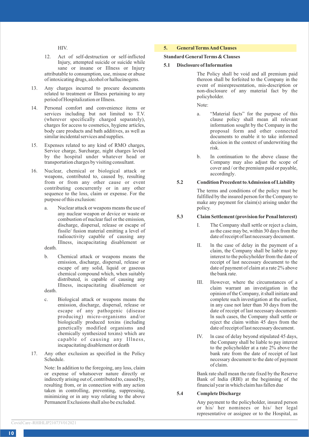HIV.

- 12. Act of self-destruction or self-inflicted Injury, attempted suicide or suicide while sane or insane or Illness or Injury attributable to consumption, use, misuse or abuse of intoxicating drugs, alcohol or hallucinogens.
- 13. Any charges incurred to procure documents related to treatment or Illness pertaining to any period of Hospitalization or Illness.
- 14. Personal comfort and convenience items or services including but not limited to T.V. (wherever specifically charged separately), charges for access to cosmetics, hygiene articles, body care products and bath additives, as well as similar incidental services and supplies.
- 15. Expenses related to any kind of RMO charges, Service charge, Surcharge, night charges levied by the hospital under whatever head or transportation charges by visiting consultant.
- 16. Nuclear, chemical or biological attack or weapons, contributed to, caused by, resulting from or from any other cause or event contributing concurrently or in any other sequence to the loss, claim or expense. For the purpose of this exclusion:
	- a. Nuclear attack or weapons means the use of any nuclear weapon or device or waste or combustion of nuclear fuel or the emission, discharge, dispersal, release or escape of fissile/ fusion material emitting a level of radioactivity capable of causing any Illness, incapacitating disablement or

death.

- b. Chemical attack or weapons means the emission, discharge, dispersal, release or escape of any solid, liquid or gaseous chemical compound which, when suitably distributed, is capable of causing any Illness, incapacitating disablement or death.
- c. Biological attack or weapons means the emission, discharge, dispersal, release or escape of any pathogenic (disease producing) micro-organisms and/or biologically produced toxins (including genetically modified organisms and chemically synthesized toxins) which are capable of causing any Illness, incapacitating disablement or death
- 17. Any other exclusion as specified in the Policy Schedule.

Note: In addition to the foregoing, any loss, claim or expense of whatsoever nature directly or indirectly arising out of, contributed to, caused by, resulting from, or in connection with any action taken in controlling, preventing, suppressing, minimizing or in any way relating to the above Permanent Exclusions shall also be excluded.

## **5. General Terms And Clauses**

## **Standard General Terms & Clauses**

**5.1 Disclosure of Information**

The Policy shall be void and all premium paid thereon shall be forfeited to the Company in the event of misrepresentation, mis-description or non-disclosure of any material fact by the policyholder.

Note:

- a. "Material facts" for the purpose of this clause policy shall mean all relevant information sought by the Company in the proposal form and other connected documents to enable it to take informed decision in the context of underwriting the risk.
- b. In continuation to the above clause the Company may also adjust the scope of cover and / or the premium paid or payable, accordingly.

## **5.2 Condition Precedent to Admission of Liability**

The terms and conditions of the policy must be fulfilled by the insured person for the Company to make any payment for claim(s) arising under the policy.

## **5.3 Claim Settlement (provision forPenal lnterest)**

- I. The Company shall settle or reject a claim, as the case may be, within 30 days from the date of receipt of last necessary document.
- II. ln the case of delay in the payment of a claim, the Company shall be liable to pay interest to the policyholder from the date of receipt of last necessary document to the date of payment of claim at a rate 2% above the bank rate.
- III. However, where the circumstances of a claim warrant an investigation in the opinion of the Company, it shall initiate and complete such investigation at the earliest, in any case not later than 30 days from the date of receipt of last necessary documentln such cases, the Company shall settle or reject the claim within 45 days from the date of receipt of last necessary document.
- IV. ln case of delay beyond stipulated 45 days, the Company shall be liable to pay interest to the policyholder at a rate 2% above the bank rate from the date of receipt of last necessary document to the date of payment of claim.

Bank rate shall mean the rate fixed by the Reserve Bank of lndia (RBl) at the beginning of the financial year in which claim has fallen due

## **5.4 Complete Discharge**

Any payment to the policyholder, insured person or his/ her nominees or his/ her legal representative or assignee or to the Hospital, as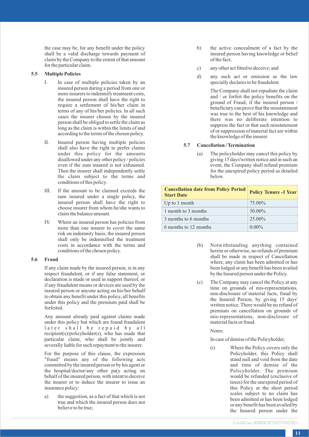the case may be, for any benefit under the policy shall be a valid discharge towards payment of claim by the Company to the extent of that amount for the particular claim.

#### **5.5 Multiple Policies**

- I. ln case of multiple policies taken by an insured person during a period from one or more insurers to indemnify treatment costs, the insured person shall have the right to require a settlement of his/her claim in terms of any of his/her policies. ln all such cases the insurer chosen by the insured person shall be obliged to settle the claim as long as the claim is within the limits of and according to the terms of the chosen policy.
- II. lnsured person having multiple policies shall also have the right to prefer claims under this policy for the amounts disallowed under any other policy / policies even if the sum insured is not exhausted. Then the insurer shall independently settle the claim subject to the terms and conditions of this policy.
- III. lf the amount to be claimed exceeds the sum insured under a single policy, the insured person shall have the right to choose insurer from whom he/she wants to claim the balance amount.
- IV. Where an insured person has policies from more than one insurer to cover the same risk on indemnity basis, the insured person shall only be indemnified the treatment costs in accordance with the terms and conditions of the chosen policy.

#### **5.6 Fraud**

lf any claim made by the insured person, is in any respect fraudulent, or if any false statement, or declaration is made or used in support thereof, or if any fraudulent means or devices are used by the insured person or anyone acting on his/her behalf to obtain any benefit under this policy, all benefits under this policy and the premium paid shall be forfeited.

Any amount already paid against claims made under this policy but which are found fraudulent later shall be repaid by all recipient(s)/policyholder(s), who has made that particular claim, who shall be jointly and severally liable for such repayment to the insurer.

For the purpose of this clause, the expression "fraud" means any of the following acts committed by the insured person or by his agent or the hospital/doctor/any other pa(y acting on behalf of the insured person, with intent to deceive the insurer or to induce the insurer to issue an insurance policy:

a) the suggestion, as a fact of that which is not true and which the insured person does not believe to be true;

- b) the active concealment of a fact by the insured person having knowledge or belief of the fact;
- c) any other act fitted to deceive; and
- d) any such act or omission as the law specially declares to be fraudulent.

The Company shall not repudiate the claim and / or forfeit the policy benefits on the ground of Fraud, if the insured person / beneficiary can prove that the misstatement was true to the best of his knowledge and there was no deliberate intention to suppress the fact or that such misstatement of or suppression of material fact are within the knowledge of the insurer.

## **5.7 Cancellation / Termination**

(a) The policyholder may cancel this policy by giving 15 days'written notice and in such an event, the Company shall refund premium for the unexpired policy period as detailed below.

| <b>Cancellation date from Policy Period</b><br><b>Start Date</b> | <b>Policy Tenure -1 Year</b> |
|------------------------------------------------------------------|------------------------------|
| Up to 1 month                                                    | 75.00%                       |
| 1 month to 3 months                                              | 50.00%                       |
| 3 months to 6 months                                             | $25.00\%$                    |
| 6 months to 12 months                                            | $0.00\%$                     |

- (b) Notwithstanding anything contained herein or otherwise, no refunds of premium shall be made in respect of Cancellation where, any claim has been admitted or has been lodged or any benefit has been availed by the Insured person under the Policy.
- (c) The Company may cancel the Policy at any time on grounds of mis-representations, non-disclosure of material facts, fraud by the Insured Person, by giving 15 days' written notice. There would be no refund of premium on cancellation on grounds of mis-representations, non-disclosure of material facts or fraud.

#### Notes:

In case of demise of the Policyholder,

(i) Where the Policy covers only the Policyholder, this Policy shall stand null and void from the date and time of demise of the Policyholder. The premium would be refunded (exclusive of taxes) for the unexpired period of this Policy at the short period scales subject to no claim has been admitted or has been lodged or any benefit has been availed by the Insured person under the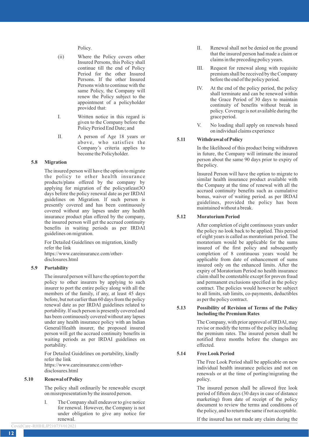Policy.

- (ii) Where the Policy covers other Insured Persons, this Policy shall continue till the end of Policy Period for the other Insured Persons. If the other Insured Persons wish to continue with the same Policy, the Company will renew the Policy subject to the appointment of a policyholder provided that:
- I. Written notice in this regard is given to the Company before the Policy Period End Date; and
- II. A person of Age 18 years or above, who satisfies the Company's criteria applies to become the Policyholder.

## **5.8 Migration**

The insured person will have the option to migrate the policy to other health insurance products/plans offered by the company by applying for migration of the policyatleast3O days before the policy renewal date as per IRDAI guidelines on Migration. lf such person is presently covered and has been continuously covered without any lapses under any health insurance product plan offered by the company, the insured person will get the accrued continuity benefits in waiting periods as per IRDAI guidelines on migration.

For Detailed Guidelines on migration, kindly refer the link https://www.careinsurance.com/otherdisclosures.html

#### **5.9 Portability**

The insured person will have the option to port the policy to other insurers by applying to such insurer to port the entire policy along with all the members of the family, if any, at least 45 days before, but not earlier than 60 days from the policy renewal date as per IRDAI guidelines related to portability. lf such person is presently covered and has been continuously covered without any lapses under any health insurance policy with an lndian General/Health insurer, the proposed insured person will get the accrued continuity benefits in waiting periods as per IRDAI guidelines on portability.

For Detailed Guidelines on portability, kindly refer the link https://www.careinsurance.com/otherdisclosures.html

#### **5.10 Renewal of Policy**

The policy shall ordinarily be renewable except on misrepresentation by the insured person.

I. The Company shall endeavor to give notice for renewal. However, the Company is not under obligation to give any notice for renewal.

**12**

- II. Renewal shall not be denied on the ground that the insured person had made a claim or claims in the preceding policy years.
- III. Request for renewal along with requisite premium shall be received by the Company before the end of the policy period.
- IV. At the end of the policy period, the policy shall terminate and can be renewed within the Grace Period of 30 days to maintain continuity of benefits without break in policy. Coverage is not available during the grace period.
- V. No loading shall apply on renewals based on individual claims experience

## **5.11 Withdrawal of Policy**

In the likelihood of this product being withdrawn in future, the Company will intimate the insured person about the same 90 days prior to expiry of the policy.

Insured Person will have the option to migrate to similar health insurance product available with the Company at the time of renewal with all the accrued continuity benefits such as cumulative bonus, waiver of waiting period. as per IRDAI guidelines, provided the policy has been maintained without a break.

## **5.12 Moratorium Period**

After completion of eight continuous years under the policy no look back to be applied. This period of eight years is called as moratorium period. The moratorium would be applicable for the sums insured of the first policy and subsequently completion of 8 continuous years would be applicable from date of enhancement of sums insured only on the enhanced limits. After the expiry of Moratorium Period no health insurance claim shall be contestable except for proven fraud and permanent exclusions specified in the policy contract. The policies would however be subject to all limits, sub limits, co-payments, deductibles as per the policy contract.

#### **5.13 Possibility of Revision of Terms of the Policy lncluding the Premium Rates**

The Company, with prior approval of lRDAl, may revise or modify the terms of the policy including the premium rates. The insured person shall be notified three months before the changes are effected.

## **5.14 Free Look Period**

The Free Look Period shall be applicable on new individual health insurance policies and not on renewals or at the time of porting/migrating the policy.

The insured person shall be allowed free look period of fifteen days (30 days in case of distance marketing) from date of receipt of the policy document to review the terms and conditions of the policy, and to return the same if not acceptable.

lf the insured has not made any claim during the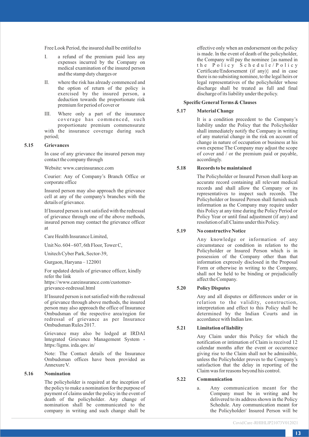Free Look Period, the insured shall be entitled to

- I. a refund of the premium paid less any expenses incurred by the Company on medical examination of the insured person and the stamp duty charges or
- II. where the risk has already commenced and the option of return of the policy is exercised by the insured person, a deduction towards the proportionate risk premium for period of cover or
- III. Where only a part of the insurance coverage has commenced, such proportionate premium commensurate with the insurance coverage during such period;

#### **5.15 Grievances**

In case of any grievance the insured person may contact the company through

Website: www.careinsurance.com

Courier: Any of Company's Branch Office or corporate office

Insured person may also approach the grievance cell at any of the company's branches with the details of grievance.

If Insured person is not satisfied with the redressal of grievance through one of the above methods, insured person may contact the grievance officer at

Care Health Insurance Limited,

Unit No. 604 - 607, 6th Floor, Tower C,

Unitech Cyber Park, Sector-39,

Gurgaon, Haryana – 122001

For updated details of grievance officer, kindly refer the link https://www.careinsurance.com/customergrievance-redressal.html

If Insured person is not satisfied with the redressal of grievance through above methods, the insured person may also approach the office of Insurance Ombudsman of the respective area/region for redressal of grievance as per Insurance Ombudsman Rules 2017.

Grievance may also be lodged at IRDAI lntegrated Grievance Management System https:/ligms. irda.qov. in/

Note: The Contact details of the Insurance Ombudsman offices have been provided as Annexure V.

## **5.16 Nomination**

The policyholder is required at the inception of the policy to make a nomination for the purpose of payment of claims under the policy in the event of death of the policyholder. Any change of nomination shall be communicated to the company in writing and such change shall be effective only when an endorsement on the policy is made. ln the event of death of the policyholder, the Company will pay the nominee {as named in the Policy Schedule/Policy Certificate/Endorsement (if any)} and in case there is no subsisting nominee, to the legal heirs or legal representatives of the policyholder whose discharge shall be treated as full and final discharge of its liability under the policy.

## **Specific General Terms & Clauses**

#### **5.17 Material Change**

It is a condition precedent to the Company's liability under the Policy that the Policyholder shall immediately notify the Company in writing of any material change in the risk on account of change in nature of occupation or business at his own expense The Company may adjust the scope of cover and / or the premium paid or payable, accordingly.

## **5.18 Records to be maintained**

The Policyholder or Insured Person shall keep an accurate record containing all relevant medical records and shall allow the Company or its representatives to inspect such records. The Policyholder or Insured Person shall furnish such information as the Company may require under this Policy at any time during the Policy Period or Policy Year or until final adjustment (if any) and resolution of all Claims under this Policy.

## **5.19 No constructive Notice**

Any knowledge or information of any circumstance or condition in relation to the Policyholder or Insured Person which is in possession of the Company other than that information expressly disclosed in the Proposal Form or otherwise in writing to the Company, shall not be held to be binding or prejudicially affect the Company.

## **5.20 Policy Disputes**

Any and all disputes or differences under or in relation to the validity, construction, interpretation and effect to this Policy shall be determined by the Indian Courts and in accordance with Indian law.

## **5.21 Limitation of liability**

Any Claim under this Policy for which the notification or intimation of Claim is received 12 calendar months after the event or occurrence giving rise to the Claim shall not be admissible, unless the Policyholder proves to the Company's satisfaction that the delay in reporting of the Claim was for reasons beyond his control.

## **5.22 Communication**

a. Any communication meant for the Company must be in writing and be delivered to its address shown in the Policy Schedule. Any communication meant for the Policyholder/ Insured Person will be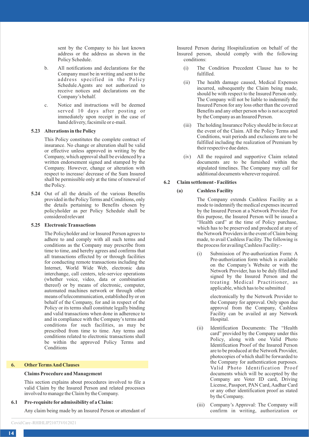sent by the Company to his last known address or the address as shown in the Policy Schedule.

- b. All notifications and declarations for the Company must be in writing and sent to the address specified in the Policy Schedule.Agents are not authorized to receive notices and declarations on the Company's behalf.
- c. Notice and instructions will be deemed served 10 days after posting or immediately upon receipt in the case of hand delivery, facsimile or e-mail.

#### **5.23 Alterations in the Policy**

This Policy constitutes the complete contract of insurance. No change or alteration shall be valid or effective unless approved in writing by the Company, which approval shall be evidenced by a written endorsement signed and stamped by the Company. However, change or alteration with respect to increase/ decrease of the Sum Insured shall be permissible only at the time of renewal of the Policy.

**5.24** Out of all the details of the various Benefits provided in the Policy Terms and Conditions, only the details pertaining to Benefits chosen by policyholder as per Policy Schedule shall be considered relevant

#### **5.25 Electronic Transactions**

The Policyholder and /or Insured Person agrees to adhere to and comply with all such terms and conditions as the Company may prescribe from time to time, and hereby agrees and confirms that all transactions effected by or through facilities for conducting remote transactions including the Internet, World Wide Web, electronic data interchange, call centers, tele-service operations (whether voice, video, data or combination thereof) or by means of electronic, computer, automated machines network or through other means of telecommunication, established by or on behalf of the Company, for and in respect of the Policy or its terms shall constitute legally binding and valid transactions when done in adherence to and in compliance with the Company's terms and conditions for such facilities, as may be prescribed from time to time. Any terms and conditions related to electronic transactions shall be within the approved Policy Terms and Conditions

#### **6. OtherTerms And Clauses**

#### **Claims Procedure and Management**

This section explains about procedures involved to file a valid Claim by the Insured Person and related processes involved to manage the Claim by the Company.

#### **6.1 Pre-requisite for admissibility of a Claim:**

Any claim being made by an Insured Person or attendant of

Insured Person during Hospitalization on behalf of the Insured person, should comply with the following conditions:

- (i) The Condition Precedent Clause has to be fulfilled.
- (ii) The health damage caused, Medical Expenses incurred, subsequently the Claim being made, should be with respect to the Insured Person only. The Company will not be liable to indemnify the Insured Person for any loss other than the covered Benefits and any other person who is not accepted by the Company as an Insured Person.
- (iii) The holding Insurance Policy should be in force at the event of the Claim. All the Policy Terms and Conditions, wait periods and exclusions are to be fulfilled including the realization of Premium by their respective due dates.
- (iv) All the required and supportive Claim related documents are to be furnished within the stipulated timelines. The Company may call for additional documents wherever required.

#### **6.2 Claim settlement - Facilities**

#### **(a) Cashless Facility**

The Company extends Cashless Facility as a mode to indemnify the medical expenses incurred by the Insured Person at a Network Provider. For this purpose, the Insured Person will be issued a "Health card" at the time of Policy purchase, which has to be preserved and produced at any of the Network Providers in the event of Claim being made, to avail Cashless Facility. The following is the process for availing Cashless Facility:-

(i) Submission of Pre-authorization Form: A Pre-authorization form which is available on the Company's Website or with the Network Provider, has to be duly filled and signed by the Insured Person and the treating Medical Practitioner, as applicable, which has to be submitted

> electronically by the Network Provider to the Company for approval. Only upon due approval from the Company, Cashless Facility can be availed at any Network Hospital.

- (ii) Identification Documents: The "Health card" provided by the Company under this Policy, along with one Valid Photo Identification Proof of the Insured Person are to be produced at the Network Provider, photocopies of which shall be forwarded to the Company for authentication purposes. Valid Photo Identification Proof documents which will be accepted by the Company are Voter ID card, Driving License, Passport, PAN Card, Aadhar Card or any other identification proof as stated by the Company.
- (iii) Company's Approval: The Company will confirm in writing, authorization or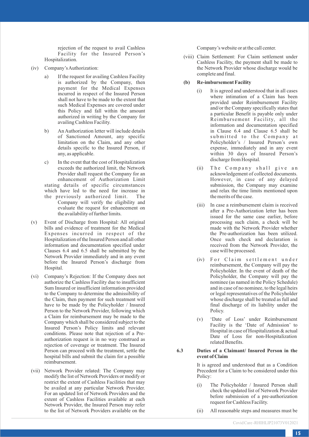rejection of the request to avail Cashless Facility for the Insured Person's Hospitalization.

- (iv) Company's Authorization:
	- a) If the request for availing Cashless Facility is authorized by the Company, then payment for the Medical Expenses incurred in respect of the Insured Person shall not have to be made to the extent that such Medical Expenses are covered under this Policy and fall within the amount authorized in writing by the Company for availing Cashless Facility.
	- b) An Authorization letter will include details of Sanctioned Amount, any specific limitation on the Claim, and any other details specific to the Insured Person, if any, as applicable.
	- c) In the event that the cost of Hospitalization exceeds the authorized limit, the Network Provider shall request the Company for an enhancement of Authorization Limit stating details of specific circumstances which have led to the need for increase in the previously authorized limit. The Company will verify the eligibility and evaluate the request for enhancement on the availability of further limits.
- (v) Event of Discharge from Hospital: All original bills and evidence of treatment for the Medical Expenses incurred in respect of the Hospitalization of the Insured Person and all other information and documentation specified under Clauses 6.4 and 6.5 shall be submitted by the Network Provider immediately and in any event before the Insured Person's discharge from Hospital.
- (vi) Company's Rejection: If the Company does not authorize the Cashless Facility due to insufficient Sum Insured or insufficient information provided to the Company to determine the admissibility of the Claim, then payment for such treatment will have to be made by the Policyholder / Insured Person to the Network Provider, following which a Claim for reimbursement may be made to the Company which shall be considered subject to the Insured Person's Policy limits and relevant conditions. Please note that rejection of a Preauthorization request is in no way construed as rejection of coverage or treatment. The Insured Person can proceed with the treatment, settle the hospital bills and submit the claim for a possible reimbursement.
- (vii) Network Provider related: The Company may modify the list of Network Providers or modify or restrict the extent of Cashless Facilities that may be availed at any particular Network Provider. For an updated list of Network Providers and the extent of Cashless Facilities available at each Network Provider, the Insured Person may refer to the list of Network Providers available on the

Company's website or at the call center.

(viii) Claim Settlement: For Claim settlement under Cashless Facility, the payment shall be made to the Network Provider whose discharge would be complete and final.

#### **(b) Re-imbursement Facility**

- (i) It is agreed and understood that in all cases where intimation of a Claim has been provided under Reimbursement Facility and/or the Company specifically states that a particular Benefit is payable only under Reimbursement Facility, all the information and documentation specified in Clause 6.4 and Clause 6.5 shall be submitted to the Company at Policyholder's / Insured Person's own expense, immediately and in any event within 30 days of Insured Person's discharge from Hospital.
- (ii) The Company shall give an acknowledgement of collected documents. However, in case of any delayed submission, the Company may examine and relax the time limits mentioned upon the merits of the case.
- (iii) In case a reimbursement claim is received after a Pre-Authorization letter has been issued for the same case earlier, before processing such claim, a check will be made with the Network Provider whether the Pre-authorization has been utilized. Once such check and declaration is received from the Network Provider, the case will be processed.
- (iv) For Claim settlement under reimbursement, the Company will pay the Policyholder. In the event of death of the Policyholder, the Company will pay the nominee (as named in the Policy Schedule) and in case of no nominee, to the legal heirs or legal representatives of the Policyholder whose discharge shall be treated as full and final discharge of its liability under the Policy.
- (v) 'Date of Loss' under Reimbursement Facility is the 'Date of Admission' to Hospital in case of Hospitalization & actual Date of Loss for non-Hospitalization related Benefits.

#### **6.3 Duties of a Claimant/ Insured Person in the event of Claim**

It is agreed and understood that as a Condition Precedent for a Claim to be considered under this Policy:

- (i) The Policyholder / Insured Person shall check the updated list of Network Provider before submission of a pre-authorization request for Cashless Facility.
- (ii) All reasonable steps and measures must be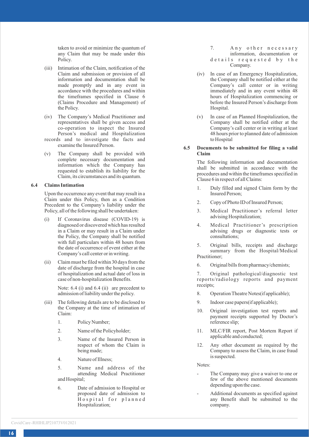taken to avoid or minimize the quantum of any Claim that may be made under this Policy.

- (iii) Intimation of the Claim, notification of the Claim and submission or provision of all information and documentation shall be made promptly and in any event in accordance with the procedures and within the timeframes specified in Clause 6 (Claims Procedure and Management) of the Policy.
- (iv) The Company's Medical Practitioner and representatives shall be given access and co-operation to inspect the Insured Person's medical and Hospitalization
- records and to investigate the facts and examine the Insured Person.
- (v) The Company shall be provided with complete necessary documentation and information which the Company has requested to establish its liability for the Claim, its circumstances and its quantum.

## **6.4 Claims Intimation**

Upon the occurrence any event that may result in a Claim under this Policy, then as a Condition Precedent to the Company's liability under the Policy, all of the following shall be undertaken:

- (i) If Coronavirus disease (COVID-19) is diagnosed or discovered which has resulted in a Claim or may result in a Claim under the Policy, the Company shall be notified with full particulars within 48 hours from the date of occurrence of event either at the Company's call center or in writing.
- (ii) Claim must be filed within 30 days from the date of discharge from the hospital in case of hospitalization and actual date of loss in case of non-hospitalization Benefits.

Note: 6.4 (i) and 6.4 (ii) are precedent to admission of liability under the policy.

- (iii) The following details are to be disclosed to the Company at the time of intimation of Claim:
	- 1. Policy Number;
	- 2. Name of the Policyholder;
	- 3. Name of the Insured Person in respect of whom the Claim is being made;
	- 4. Nature of Illness;

5. Name and address of the attending Medical Practitioner and Hospital;

6. Date of admission to Hospital or proposed date of admission to Hospital for planned Hospitalization;

- 7. Any other necessary information, documentation or
- d e tails requested by the Company.
- (iv) In case of an Emergency Hospitalization, the Company shall be notified either at the Company's call center or in writing immediately and in any event within 48 hours of Hospitalization commencing or before the Insured Person's discharge from Hospital.
- (v) In case of an Planned Hospitalization, the Company shall be notified either at the Company's call center or in writing at least 48 hours prior to planned date of admission to Hospital

## **6.5 Documents to be submitted for filing a valid Claim**

The following information and documentation shall be submitted in accordance with the procedures and within the timeframes specified in Clause 6 in respect of all Claims:

- 1. Duly filled and signed Claim form by the Insured Person;
- 2. Copy of Photo ID of Insured Person;
- 3. Medical Practitioner's referral letter advising Hospitalization;
- 4. Medical Practitioner's prescription advising drugs or diagnostic tests or consultations;
- 5. Original bills, receipts and discharge summary from the Hospital/Medical Practitioner;
- 6. Original bills from pharmacy/chemists;

7. Original pathological/diagnostic test reports/radiology reports and payment receipts;

- 8. Operation Theatre Notes(if applicable);
- 9. Indoor case papers(if applicable);
- 10. Original investigation test reports and payment receipts supported by Doctor's reference slip;
- 11. MLC/FIR report, Post Mortem Report if applicable and conducted;
- 12. Any other document as required by the Company to assess the Claim, in case fraud is suspected.

Notes:

- The Company may give a waiver to one or few of the above mentioned documents depending upon the case.
- Additional documents as specified against any Benefit shall be submitted to the company.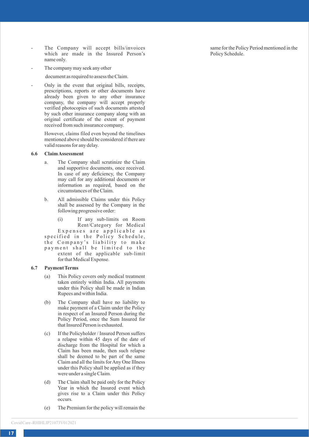- The Company will accept bills/invoices which are made in the Insured Person's name only.
- The company may seek any other

document as required to assess the Claim.

- Only in the event that original bills, receipts, prescriptions, reports or other documents have already been given to any other insurance company, the company will accept properly verified photocopies of such documents attested by such other insurance company along with an original certificate of the extent of payment received from such insurance company.

> However, claims filed even beyond the timelines mentioned above should be considered if there are valid reasons for any delay.

#### **6.6 Claim Assessment**

- a. The Company shall scrutinize the Claim and supportive documents, once received. In case of any deficiency, the Company may call for any additional documents or information as required, based on the circumstances of the Claim.
- b. All admissible Claims under this Policy shall be assessed by the Company in the following progressive order:
- (i) If any sub-limits on Room Rent/Category for Medical Expenses are applicable as specified in the Policy Schedule, the Company's liability to make payment shall be limited to the extent of the applicable sub-limit for that Medical Expense.

#### **6.7 Payment Terms**

- (a) This Policy covers only medical treatment taken entirely within India. All payments under this Policy shall be made in Indian Rupees and within India.
- (b) The Company shall have no liability to make payment of a Claim under the Policy in respect of an Insured Person during the Policy Period, once the Sum Insured for that Insured Person is exhausted.
- (c) If the Policyholder / Insured Person suffers a relapse within 45 days of the date of discharge from the Hospital for which a Claim has been made, then such relapse shall be deemed to be part of the same Claim and all the limits for Any One Illness under this Policy shall be applied as if they were under a single Claim.
- (d) The Claim shall be paid only for the Policy Year in which the Insured event which gives rise to a Claim under this Policy occurs.
- (e) The Premium for the policy will remain the

same for the Policy Period mentioned in the Policy Schedule.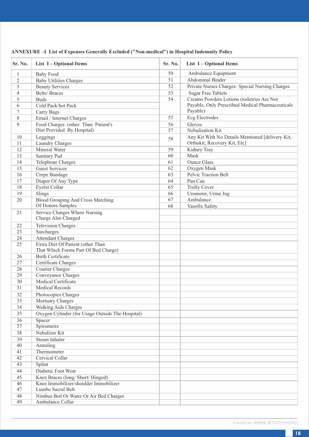| Sr. No.         | List I - Optional Items                                                   | Sr. No. | List I-Optional Items                            |
|-----------------|---------------------------------------------------------------------------|---------|--------------------------------------------------|
| $\mathbf{1}$    | <b>Baby Food</b>                                                          | 50      | Ambulance Equipment                              |
| $\overline{c}$  | <b>Baby Utilities Charges</b>                                             | 51      | Abdominal Binder                                 |
| 3               | <b>Beauty Services</b>                                                    | 52      | Private Nurses Charges- Special Nursing Charges  |
| $\overline{4}$  | <b>Belts/Braces</b>                                                       | 53      | <b>Sugar Free Tablets</b>                        |
| 5               | <b>Buds</b>                                                               | 54      | Creams Powders Lotions (toiletries Are Not       |
| 6               | Cold Pack/hot Pack                                                        |         | Payable, Only Prescribed Medical Pharmaceuticals |
| 7               | Carry Bags                                                                |         | Payable)                                         |
| 8               | Email / Internet Charges                                                  | 55      | <b>Ecg Electrodes</b>                            |
| $\overline{Q}$  | Food Charges (other Than Patient's                                        | 56      | Gloves                                           |
|                 | Diet Provided By Hospital)                                                | 57      | Nebulisation Kit                                 |
| 10              | Leggings                                                                  | 58      | Any Kit With No Details Mentioned [delivery Kit, |
| 11              | Laundry Charges                                                           |         | Orthokit, Recovery Kit, Etc]                     |
| 12              | Mineral Water                                                             | 59      | Kidney Tray                                      |
| 13              | Sanitary Pad                                                              | 60      | Mask                                             |
| 14              | <b>Telephone Charges</b>                                                  | 61      | <b>Ounce Glass</b>                               |
| 15              | <b>Guest Services</b>                                                     | 62      | Oxygen Mask                                      |
| 16              | Crepe Bandage                                                             | 63      | Pelvic Traction Belt                             |
| 17              | Diaper Of Any Type                                                        | 64      | Pan Can                                          |
| 18              | <b>Eyelet Collar</b>                                                      | 65      | Trolly Cover                                     |
| 19              | Slings                                                                    | 66      | Urometer, Urine Jug                              |
| 20              | <b>Blood Grouping And Cross Matching</b>                                  | 67      | Ambulance                                        |
|                 | Of Donors Samples                                                         | 68      | Vasofix Safety                                   |
| 21              | Service Charges Where Nursing<br>Charge Also Charged                      |         |                                                  |
| 22              | <b>Television Charges</b>                                                 |         |                                                  |
| 23              | Surcharges                                                                |         |                                                  |
| 24              | <b>Attendant Charges</b>                                                  |         |                                                  |
| 25              | Extra Diet Of Patient (other Than<br>That Which Forms Part Of Bed Charge) |         |                                                  |
| 26              | <b>Birth Certificate</b>                                                  |         |                                                  |
| 27              | Certificate Charges                                                       |         |                                                  |
| 28              | Courier Charges                                                           |         |                                                  |
| 29              | Conveyance Charges                                                        |         |                                                  |
| $\overline{30}$ | <b>Medical Certificate</b>                                                |         |                                                  |
| $\overline{31}$ | <b>Medical Records</b>                                                    |         |                                                  |
| 32              | Photocopies Charges                                                       |         |                                                  |
| 33              | Mortuary Charges                                                          |         |                                                  |
| 34              | <b>Walking Aids Charges</b>                                               |         |                                                  |
| 35              | Oxygen Cylinder (for Usage Outside The Hospital)                          |         |                                                  |
| 36              | Spacer                                                                    |         |                                                  |
| 37              | Spirometre                                                                |         |                                                  |
| 38              | Nebulizer Kit                                                             |         |                                                  |
| 39              | Steam Inhaler                                                             |         |                                                  |
| 40              | Armsling                                                                  |         |                                                  |
| 41              | Thermometer                                                               |         |                                                  |
| 42              | Cervical Collar                                                           |         |                                                  |
| 43              | Splint                                                                    |         |                                                  |
| 44              | Diabetic Foot Wear                                                        |         |                                                  |
| 45              | Knee Braces (long/Short/Hinged)                                           |         |                                                  |
| 46              | Knee Immobilizer/shoulder Immobilizer                                     |         |                                                  |
| 47              | Lumbo Sacral Belt                                                         |         |                                                  |
| 48              | Nimbus Bed Or Water Or Air Bed Charges                                    |         |                                                  |
| 49              | Ambulance Collar                                                          |         |                                                  |

# **ANNEXURE –I List of Expenses Generally Excluded ("Non-medical") in Hospital Indemnity Policy**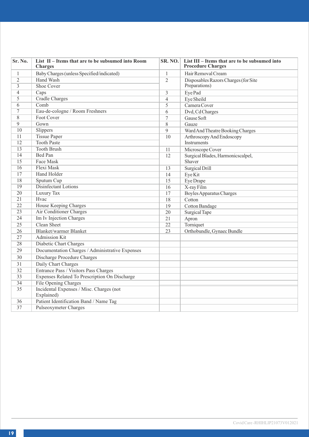| Sr. No.         | List II - Items that are to be subsumed into Room<br><b>Charges</b> |                 | SR. NO. List III - Items that are to be subsumed into<br><b>Procedure Charges</b> |
|-----------------|---------------------------------------------------------------------|-----------------|-----------------------------------------------------------------------------------|
| 1               | Baby Charges (unless Specified/indicated)                           | 1               | Hair Removal Cream                                                                |
| $\overline{2}$  | Hand Wash                                                           | $\overline{2}$  | Disposables Razors Charges (for Site                                              |
| 3               | Shoe Cover                                                          |                 | Preparations)                                                                     |
| $\overline{4}$  | Caps                                                                | 3               | Eye Pad                                                                           |
| 5               | <b>Cradle Charges</b>                                               | $\overline{4}$  | Eye Sheild                                                                        |
| $\overline{6}$  | Comb                                                                | 5               | Camera Cover                                                                      |
| $\overline{7}$  | Eau-de-cologne / Room Freshners                                     | 6               | Dvd, Cd Charges                                                                   |
| 8               | Foot Cover                                                          | 7               | Gause Soft                                                                        |
| 9               | Gown                                                                | 8               | Gauze                                                                             |
| 10              | <b>Slippers</b>                                                     | 9               | Ward And Theatre Booking Charges                                                  |
| $\overline{11}$ | <b>Tissue Paper</b>                                                 | 10              | Arthroscopy And Endoscopy                                                         |
| 12              | <b>Tooth Paste</b>                                                  |                 | Instruments                                                                       |
| 13              | <b>Tooth Brush</b>                                                  | 11              | Microscope Cover                                                                  |
| $\overline{14}$ | Bed Pan                                                             | 12              | Surgical Blades, Harmonicscalpel,                                                 |
| $\overline{15}$ | Face Mask                                                           |                 | Shaver                                                                            |
| 16              | Flexi Mask                                                          | 13              | Surgical Drill                                                                    |
| 17              | <b>Hand Holder</b>                                                  | 14              | Eye Kit                                                                           |
| 18              | Sputum Cup                                                          | 15              | Eye Drape                                                                         |
| 19              | Disinfectant Lotions                                                | 16              | X-ray Film                                                                        |
| $\overline{20}$ | Luxury Tax                                                          | 17              | <b>Boyles Apparatus Charges</b>                                                   |
| $\overline{21}$ | Hvac                                                                | 18              | Cotton                                                                            |
| 22              | House Keeping Charges                                               | 19              | Cotton Bandage                                                                    |
| 23              | Air Conditioner Charges                                             | 20              | Surgical Tape                                                                     |
| 24              | Im Iv Injection Charges                                             | 21              | Apron                                                                             |
| $\overline{25}$ | Clean Sheet                                                         | $\overline{22}$ | Torniquet                                                                         |
| 26              | Blanket/warmer Blanket                                              | 23              | Orthobundle, Gynaec Bundle                                                        |
| 27              | Admission Kit                                                       |                 |                                                                                   |
| 28              | Diabetic Chart Charges                                              |                 |                                                                                   |
| 29              | Documentation Charges / Administrative Expenses                     |                 |                                                                                   |
| 30              | Discharge Procedure Charges                                         |                 |                                                                                   |
| 31              | Daily Chart Charges                                                 |                 |                                                                                   |
| 32              | Entrance Pass / Visitors Pass Charges                               |                 |                                                                                   |
| 33              | Expenses Related To Prescription On Discharge                       |                 |                                                                                   |
| 34              | File Opening Charges                                                |                 |                                                                                   |
| 35              | Incidental Expenses / Misc. Charges (not<br>Explained)              |                 |                                                                                   |
| 36              | Patient Identification Band / Name Tag                              |                 |                                                                                   |
| 37              | Pulseoxymeter Charges                                               |                 |                                                                                   |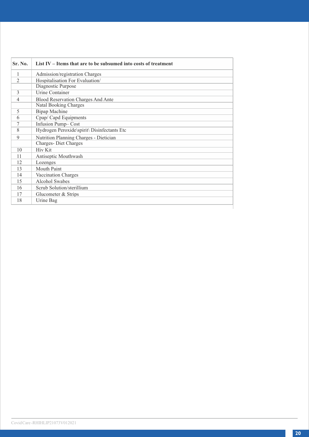| Sr. No.                  | List IV – Items that are to be subsumed into costs of treatment |
|--------------------------|-----------------------------------------------------------------|
| 1                        | Admission/registration Charges                                  |
| $\overline{c}$           | Hospitalisation For Evaluation/                                 |
|                          | Diagnostic Purpose                                              |
| $\mathcal{L}$            | <b>Urine Container</b>                                          |
| $\overline{\mathcal{L}}$ | Blood Reservation Charges And Ante                              |
|                          | Natal Booking Charges                                           |
| 5                        | Bipap Machine                                                   |
| 6                        | Cpap/ Capd Equipments                                           |
| 7                        | Infusion Pump-Cost                                              |
| 8                        | Hydrogen Peroxide\spirit\ Disinfectants Etc                     |
| 9                        | Nutrition Planning Charges - Dietician                          |
|                          | Charges-Diet Charges                                            |
| 10                       | <b>Hiv Kit</b>                                                  |
| 11                       | Antiseptic Mouthwash                                            |
| 12                       | Lozenges                                                        |
| 13                       | Mouth Paint                                                     |
| 14                       | Vaccination Charges                                             |
| 15                       | Alcohol Swabes                                                  |
| 16                       | Scrub Solution/sterillium                                       |
| 17                       | Glucometer & Strips                                             |
| 18                       | Urine Bag                                                       |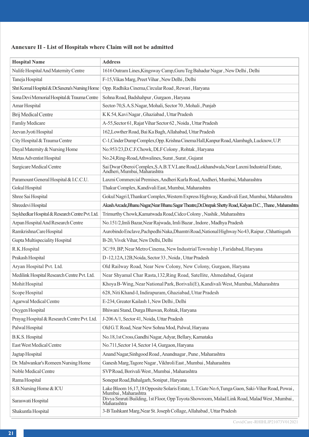# **Annexure II - List of Hospitals where Claim will not be admitted**

| <b>Hospital Name</b>                            | <b>Address</b>                                                                                                            |
|-------------------------------------------------|---------------------------------------------------------------------------------------------------------------------------|
| Nulife Hospital And Maternity Centre            | 1616 Outram Lines, Kingsway Camp, Guru Teg Bahadur Nagar, New Delhi, Delhi                                                |
| Taneja Hospital                                 | F-15, Vikas Marg, Preet Vihar, New Delhi, Delhi                                                                           |
| Shri Komal Hospital & Dr.Saxena's Nursing Home  | Opp. Radhika Cinema, Circular Road, Rewari, Haryana                                                                       |
| Sona Devi Memorial Hospital & Trauma Centre     | Sohna Road, Badshahpur, Gurgaon, Haryana                                                                                  |
| Amar Hospital                                   | Sector-70, S.A.S. Nagar, Mohali, Sector 70, Mohali, Punjab                                                                |
| Brij Medical Centre                             | K K 54, Kavi Nagar, Ghaziabad, Uttar Pradesh                                                                              |
| Famliy Medicare                                 | A-55, Sector 61, Rajat Vihar Sector 62, Noida, Uttar Pradesh                                                              |
| Jeevan Jyoti Hospital                           | 162, Lowther Road, Bai Ka Bagh, Allahabad, Uttar Pradesh                                                                  |
| City Hospital & Trauma Centre                   | C-1, Cinder Dump Complex, Opp. Krishna Cinema Hall, Kanpur Road, Alambagh, Lucknow, U.P.                                  |
| Dayal Maternity & Nursing Home                  | No.953/23,D.C.F.Chowk, DLF Colony, Rohtak, Haryana                                                                        |
| Metas Adventist Hospital                        | No.24, Ring-Road, Athwalines, Surat, Surat, Gujarat                                                                       |
| Surgicare Medical Centre                        | Sai Dwar Oberoi Complex,S.A.B.T.V.Lane Road,Lokhandwala,Near Laxmi Industrial Estate,<br>Andheri, Mumbai, Maharashtra     |
| Paramount General Hospital & I.C.C.U.           | Laxmi Commercial Premises, Andheri Kurla Road, Andheri, Mumbai, Maharashtra                                               |
| Gokul Hospital                                  | Thakur Complex, Kandivali East, Mumbai, Maharashtra                                                                       |
| Shree Sai Hospital                              | Gokul Nagri I, Thankur Complex, Western Express Highway, Kandivali East, Mumbai, Maharashtra                              |
| Shreedevi Hospital                              | Akash Arcade,Bhanu Nagar,Near Bhanu Sagar Theatre,Dr.Deepak Shetty Road, Kalyan D.C. , Thane , Maharashtra                |
| Saykhedkar Hospital & Research Centre Pvt. Ltd. | Trimurthy Chowk, Kamatwada Road, Cidco Colony, Nashik, Maharashtra                                                        |
| Arpan Hospital And Research Centre              | No.151/2, Imli Bazar, Near Rajwada, Imli Bazar, Indore, Madhya Pradesh                                                    |
| Ramkrishna Care Hospital                        | Aurobindo Enclave, Pachpedhi Naka, Dhamtri Road, National Highway No 43, Raipur, Chhattisgarh                             |
| Gupta Multispeciality Hospital                  | B-20, Vivek Vihar, New Delhi, Delhi                                                                                       |
| R.K.Hospital                                    | 3C/59, BP, Near Metro Cinema, New Industrial Township 1, Faridabad, Haryana                                               |
| Prakash Hospital                                | D-12,12A,12B, Noida, Sector 33, Noida, Uttar Pradesh                                                                      |
| Aryan Hospital Pvt. Ltd.                        | Old Railway Road, Near New Colony, New Colony, Gurgaon, Haryana                                                           |
| Medilink Hospital Research Centre Pvt. Ltd.     | Near Shyamal Char Rasta, 132, Ring Road, Satellite, Ahmedabad, Gujarat                                                    |
| Mohit Hospital                                  | Khoya B-Wing, Near National Park, Borivali(E), Kandivali West, Mumbai, Maharashtra                                        |
| Scope Hospital                                  | 628, Niti Khand-I, Indirapuram, Ghaziabad, Uttar Pradesh                                                                  |
| Agarwal Medical Centre                          | E-234, Greater Kailash 1, New Delhi, Delhi                                                                                |
| Oxygen Hospital                                 | Bhiwani Stand, Durga Bhawan, Rohtak, Haryana                                                                              |
| Prayag Hospital & Research Centre Pvt. Ltd.     | J-206 A/1, Sector 41, Noida, Uttar Pradesh                                                                                |
| Palwal Hospital                                 | Old G.T. Road, Near New Sohna Mod, Palwal, Haryana                                                                        |
| B.K.S. Hospital                                 | No.18,1st Cross, Gandhi Nagar, Adyar, Bellary, Karnataka                                                                  |
| East West Medical Centre                        | No.711, Sector 14, Sector 14, Gurgaon, Haryana                                                                            |
| Jagtap Hospital                                 | Anand Nagar, Sinhgood Road, Anandnagar, Pune, Maharashtra                                                                 |
| Dr. Malwankar's Romeen Nursing Home             | Ganesh Marg, Tagore Nagar, Vikhroli East, Mumbai, Maharashtra                                                             |
| Noble Medical Centre                            | SVP Road, Borivali West, Mumbai, Maharashtra                                                                              |
| Rama Hospital                                   | Sonepat Road, Bahalgarh, Sonipat, Haryana                                                                                 |
| S.B.Nursing Home & ICU                          | , Lake Bloom 16, 17, 18 Opposite Solaris Estate, L.T.Gate No.6, Tunga Gaon, Saki-Vihar Road, Powai<br>Mumbai, Maharashtra |
| Saraswati Hospital                              | , Divya Smruti Building, 1st Floor, Opp Toyota Showroom, Malad Link Road, Malad West, Mumbai<br>Maharashtra               |
| Shakuntla Hospital                              | 3-B Tashkant Marg, Near St. Joseph Collage, Allahabad, Uttar Pradesh                                                      |

Covid Care -RHIHLIP21073V012021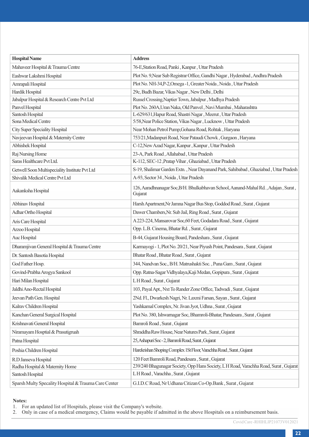| <b>Hospital Name</b>                                 | <b>Address</b>                                                                                |
|------------------------------------------------------|-----------------------------------------------------------------------------------------------|
| Mahaveer Hospital & Trauma Centre                    | 76-E, Station Road, Panki, Kanpur, Uttar Pradesh                                              |
| Eashwar Lakshmi Hospital                             | Plot No. 9, Near Sub Registrar Office, Gandhi Nagar, Hyderabad, Andhra Pradesh                |
| Amrapali Hospital                                    | Plot No. NH-34, P-2, Omega -1, Greater Noida, Noida, Uttar Pradesh                            |
| Hardik Hospital                                      | 29c, Budh Bazar, Vikas Nagar, New Delhi, Delhi                                                |
| Jabalpur Hospital & Research Centre Pvt Ltd          | Russel Crossing, Naptier Town, Jabalpur, Madhya Pradesh                                       |
| Panvel Hospital                                      | Plot No. 260A, Uran Naka, Old Panvel, Navi Mumbai, Maharashtra                                |
| Santosh Hospital                                     | L-629/631, Hapur Road, Shastri Nagar, Meerut, Uttar Pradesh                                   |
| Sona Medical Centre                                  | 5/58, Near Police Station, Vikas Nagar, Lucknow, Uttar Pradesh                                |
| City Super Speciality Hospital                       | Near Mohan Petrol Pump, Gohana Road, Rohtak, Haryana                                          |
| Navjeevan Hospital & Maternity Centre                | 753/21, Madanpuri Road, Near Pataudi Chowk, Gurgaon, Haryana                                  |
| Abhishek Hospital                                    | C-12, New Azad Nagar, Kanpur, Kanpur, Uttar Pradesh                                           |
| Raj Nursing Home                                     | 23-A, Park Road, Allahabad, Uttar Pradesh                                                     |
| Saras Healthcare Pvt Ltd.                            | K-112, SEC-12, Pratap Vihar, Ghaziabad, Uttar Pradesh                                         |
| Getwell Soon Multispeciality Institute Pvt Ltd       | S-19, Shalimar Garden Extn., Near Dayanand Park, Sahibabad, Ghaziabad, Uttar Pradesh          |
| Shivalik Medical Centre Pvt Ltd                      | A-93, Sector 34, Noida, Uttar Pradesh                                                         |
| Aakanksha Hospital                                   | 126, Aaradhnanagar Soc, B/H. Bhulkabhavan School, Aanand-Mahal Rd., Adajan, Surat,<br>Gujarat |
| Abhinav Hospital                                     | Harsh Apartment, Nr Jamna Nagar Bus Stop, Goddod Road, Surat, Gujarat                         |
| Adhar Ortho Hospital                                 | Dawer Chambers, Nr. Sub Jail, Ring Road, Surat, Gujarat                                       |
| Aris Care Hospital                                   | A 223-224, Mansarovar Soc, 60 Feet, Godadara Road, Surat, Gujarat                             |
| Arzoo Hospital                                       | Opp. L.B. Cinema, Bhatar Rd., Surat, Gujarat                                                  |
| Auc Hospital                                         | B-44, Gujarat Housing Board, Pandeshara, Surat, Gujarat                                       |
| Dharamjivan General Hospital & Trauma Centre         | Karmayogi - 1, Plot No. 20/21, Near Piyush Point, Pandesara, Surat, Gujarat                   |
| Dr. Santosh Basotia Hospital                         | Bhatar Road, Bhatar Road, Surat, Gujarat                                                      |
| God Father Hosp.                                     | 344, Nandvan Soc., B/H. Matrushakti Soc., Puna Gam, Surat, Gujarat                            |
| Govind-Prabha Arogya Sankool                         | Opp. Ratna-Sagar Vidhyalaya, Kaji Medan, Gopipura, Surat, Gujarat                             |
| Hari Milan Hospital                                  | LH Road, Surat, Gujarat                                                                       |
| Jaldhi Ano-Rectal Hospital                           | 103, Payal Apt., Nxt To Rander Zone Office, Tadwadi, Surat, Gujarat                           |
| Jeevan Path Gen. Hospital                            | 2Nd. Fl., Dwarkesh Nagri, Nr. Laxmi Farsan, Sayan, Surat, Gujarat                             |
| Kalrav Children Hospital                             | Yashkamal Complex, Nr. Jivan Jyot, Udhna, Surat, Gujarat                                      |
| Kanchan General Surgical Hospital                    | Plot No. 380, Ishwarnagar Soc, Bhamroli-Bhatar, Pandesara, Surat, Gujarat                     |
| Krishnavati General Hospital                         | Bamroli Road, Surat, Gujarat                                                                  |
| Niramayam Hosptial & Prasutigruah                    | Shraddha Raw House, Near Natures Park, Surat, Gujarat                                         |
| Patna Hospital                                       | 25, Ashapuri Soc - 2, Bamroli Road, Surat, Gujarat                                            |
| Poshia Children Hospital                             | Harekrishan Shoping Complex 1 St Floor, Varachha Road, Surat, Gujarat                         |
| R.D Janseva Hospital                                 | 120 Feet Bamroli Road, Pandesara, Surat, Gujarat                                              |
| Radha Hospital & Maternity Home                      | 239/240 Bhagunagar Society, Opp Hans Society, L H Road, Varachha Road, Surat, Gujarat         |
| Santosh Hospital                                     | L H Road, Varachha, Surat, Gujarat                                                            |
| Sparsh Multy Specality Hospital & Trauma Care Center | G.I.D.C Road, Nr Udhana Citizan Co-Op.Bank, Surat, Gujarat                                    |

#### **Notes:**

1. For an updated list of Hospitals, please visit the Company's website. 2. Only in case of a medical emergency, Claims would be payable if admitted in the above Hospitals on a reimbursement basis.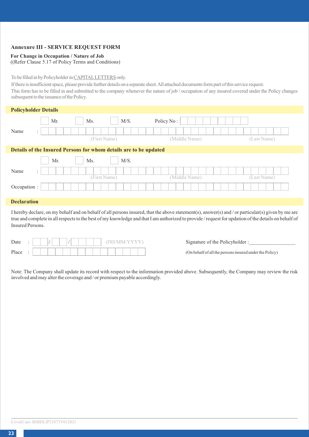## **Annexure III - SERVICE REQUEST FORM**

## **For Change in Occupation / Nature of Job**

((Refer Clause 5.17 of Policy Terms and Conditions)

## To be filled in by Policyholder in CAPITALLETTERS only.

If there is insufficient space, please provide further details on a separate sheet. All attached documents form part of this service request.

This form has to be filled in and submitted to the company whenever the nature of job / occupation of any insured covered under the Policy changes subsequent to the issuance of the Policy.

| <b>Policyholder Details</b> |                      |                                                                   |               |             |
|-----------------------------|----------------------|-------------------------------------------------------------------|---------------|-------------|
|                             | Mr.                  | M/S.<br>Ms.                                                       | Policy No:    |             |
| Name                        | $\ddot{\phantom{a}}$ | (First Name)                                                      | (Middle Name) | (Last Name) |
|                             |                      | Details of the Insured Persons for whom details are to be updated |               |             |
|                             | Mr.                  | M/S.<br>Ms.                                                       |               |             |
| Name                        | $\ddot{\phantom{a}}$ | (First Name)                                                      | (Middle Name) | (Last Name) |
| Occupation :                |                      |                                                                   |               |             |

## **Declaration**

I hereby declare, on my behalf and on behalf of all persons insured, that the above statement(s), answer(s) and / or particular(s) given by me are true and complete in all respects to the best of my knowledge and that I am authorized to provide / request for updation of the details on behalf of Insured Persons.

| Date  |   |  |  |  |  |  |  |  |  |  |  |
|-------|---|--|--|--|--|--|--|--|--|--|--|
| Place | ٠ |  |  |  |  |  |  |  |  |  |  |

Signature of the Policyholder :

(On behalf of all the persons insured under the Policy)

Note: The Company shall update its record with respect to the information provided above. Subsequently, the Company may review the risk involved and may alter the coverage and / or premium payable accordingly.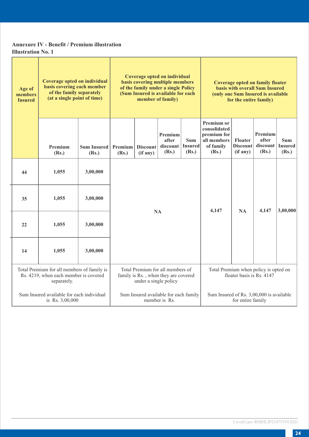# **Annexure IV - Benefit / Premium illustration Illustration No. 1**

| Age of<br>members<br><b>Insured</b> | Coverage opted on individual<br>basis covering each member<br>of the family separately<br>(at a single point of time)                                                                                   |                             | Coverage opted on individual<br>basis covering multiple members<br>of the family under a single Policy<br>(Sum Insured is available for each<br>member of family) |                             |                                       |                                          |                                                                                       | <b>Coverage opted on family floater</b><br>basis with overall Sum Insured<br>(only one Sum Insured is available<br>for the entire family) |                                                                    |                                       |
|-------------------------------------|---------------------------------------------------------------------------------------------------------------------------------------------------------------------------------------------------------|-----------------------------|-------------------------------------------------------------------------------------------------------------------------------------------------------------------|-----------------------------|---------------------------------------|------------------------------------------|---------------------------------------------------------------------------------------|-------------------------------------------------------------------------------------------------------------------------------------------|--------------------------------------------------------------------|---------------------------------------|
|                                     | Premium<br>(Rs.)                                                                                                                                                                                        | <b>Sum Insured</b><br>(Rs.) | Premium<br>(Rs.)                                                                                                                                                  | <b>Discount</b><br>(if any) | Premium<br>after<br>discount<br>(Rs.) | Sum<br><b>Insured</b><br>(Rs.)           | <b>Premium or</b><br>consolidated<br>premium for<br>all members<br>of family<br>(Rs.) | Floater<br><b>Discount</b><br>(if any)                                                                                                    | Premium<br>after<br>discount<br>(Rs.)                              | <b>Sum</b><br><b>Insured</b><br>(Rs.) |
| 44                                  | 1,055                                                                                                                                                                                                   | 3,00,000                    |                                                                                                                                                                   |                             |                                       |                                          |                                                                                       |                                                                                                                                           |                                                                    |                                       |
| 35                                  | 1,055                                                                                                                                                                                                   | 3,00,000                    |                                                                                                                                                                   |                             |                                       |                                          |                                                                                       | <b>NA</b>                                                                                                                                 | 4.147                                                              | 3,00,000                              |
| 22                                  | 1,055                                                                                                                                                                                                   | 3,00,000                    |                                                                                                                                                                   | NA                          |                                       |                                          | 4.147                                                                                 |                                                                                                                                           |                                                                    |                                       |
| 14                                  | 1,055                                                                                                                                                                                                   | 3,00,000                    |                                                                                                                                                                   |                             |                                       |                                          |                                                                                       |                                                                                                                                           |                                                                    |                                       |
|                                     | Total Premium for all members of<br>Total Premium for all members of family is<br>Rs. 4219, when each member is covered<br>family is Rs., when they are covered<br>separately.<br>under a single policy |                             |                                                                                                                                                                   |                             |                                       |                                          |                                                                                       |                                                                                                                                           | Total Premium when policy is opted on<br>floater basis is Rs. 4147 |                                       |
|                                     | Sum Insured available for each individual<br>is Rs. 3,00,000                                                                                                                                            |                             | Sum Insured available for each family                                                                                                                             | member is Rs.               |                                       | Sum Insured of Rs. 3,00,000 is available | for entire family                                                                     |                                                                                                                                           |                                                                    |                                       |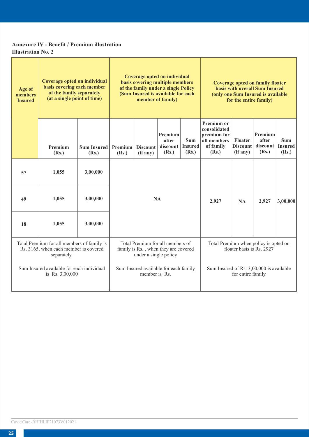# **Annexure IV - Benefit / Premium illustration Illustration No. 2**

| Age of<br>members<br><b>Insured</b> | Coverage opted on individual<br>basis covering each member<br>of the family separately<br>(at a single point of time) |                             | Coverage opted on individual<br>basis covering multiple members<br>of the family under a single Policy<br>(Sum Insured is available for each<br>member of family)       |                             |                                       |                                       |                                                                                       | Coverage opted on family floater<br>basis with overall Sum Insured<br>(only one Sum Insured is available<br>for the entire family) |                                         |                                 |
|-------------------------------------|-----------------------------------------------------------------------------------------------------------------------|-----------------------------|-------------------------------------------------------------------------------------------------------------------------------------------------------------------------|-----------------------------|---------------------------------------|---------------------------------------|---------------------------------------------------------------------------------------|------------------------------------------------------------------------------------------------------------------------------------|-----------------------------------------|---------------------------------|
|                                     | Premium<br>(Rs.)                                                                                                      | <b>Sum Insured</b><br>(Rs.) | Premium<br>(Rs.)                                                                                                                                                        | <b>Discount</b><br>(if any) | Premium<br>after<br>discount<br>(Rs.) | <b>Sum</b><br><b>Insured</b><br>(Rs.) | <b>Premium or</b><br>consolidated<br>premium for<br>all members<br>of family<br>(Rs.) | Floater<br><b>Discount</b><br>(if any)                                                                                             | Premium<br>after<br>discount  <br>(Rs.) | Sum.<br><b>Insured</b><br>(Rs.) |
| 57                                  | 1,055                                                                                                                 | 3,00,000                    |                                                                                                                                                                         |                             |                                       |                                       |                                                                                       |                                                                                                                                    |                                         |                                 |
| 49                                  | 1.055                                                                                                                 | 3.00.000                    |                                                                                                                                                                         |                             | <b>NA</b>                             |                                       | 2,927                                                                                 | NA                                                                                                                                 | 2,927                                   | 3,00,000                        |
| 18                                  | 1.055                                                                                                                 | 3,00,000                    |                                                                                                                                                                         |                             |                                       |                                       |                                                                                       |                                                                                                                                    |                                         |                                 |
|                                     | Total Premium for all members of family is<br>Rs. 3165, when each member is covered<br>separately.                    |                             | Total Premium for all members of<br>Total Premium when policy is opted on<br>floater basis is Rs. 2927<br>family is Rs., when they are covered<br>under a single policy |                             |                                       |                                       |                                                                                       |                                                                                                                                    |                                         |                                 |
|                                     | Sum Insured available for each individual<br>is Rs. 3,00,000                                                          |                             |                                                                                                                                                                         | member is Rs.               | Sum Insured available for each family |                                       | Sum Insured of Rs. 3,00,000 is available                                              | for entire family                                                                                                                  |                                         |                                 |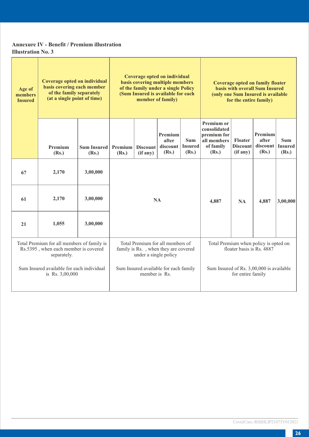# **Annexure IV - Benefit / Premium illustration Illustration No. 3**

| Age of<br>members<br><b>Insured</b> | Coverage opted on individual<br>basis covering each member<br>of the family separately<br>(at a single point of time) |                             |                                                                                                                                                                         | Coverage opted on individual<br>basis covering multiple members<br><b>Coverage opted on family floater</b><br>of the family under a single Policy<br>basis with overall Sum Insured<br>(Sum Insured is available for each<br>(only one Sum Insured is available<br>member of family)<br>for the entire family) |                                       |                                |                                                                                       |                                        |                                         |                                       |
|-------------------------------------|-----------------------------------------------------------------------------------------------------------------------|-----------------------------|-------------------------------------------------------------------------------------------------------------------------------------------------------------------------|----------------------------------------------------------------------------------------------------------------------------------------------------------------------------------------------------------------------------------------------------------------------------------------------------------------|---------------------------------------|--------------------------------|---------------------------------------------------------------------------------------|----------------------------------------|-----------------------------------------|---------------------------------------|
|                                     | Premium<br>(Rs.)                                                                                                      | <b>Sum Insured</b><br>(Rs.) | Premium<br>(Rs.)                                                                                                                                                        | <b>Discount</b><br>(if any)                                                                                                                                                                                                                                                                                    | Premium<br>after<br>discount<br>(Rs.) | Sum<br><b>Insured</b><br>(Rs.) | <b>Premium or</b><br>consolidated<br>premium for<br>all members<br>of family<br>(Rs.) | Floater<br><b>Discount</b><br>(if any) | Premium<br>after<br>discount  <br>(Rs.) | <b>Sum</b><br><b>Insured</b><br>(Rs.) |
| 67                                  | 2,170                                                                                                                 | 3,00,000                    |                                                                                                                                                                         |                                                                                                                                                                                                                                                                                                                |                                       |                                |                                                                                       |                                        |                                         |                                       |
| 61                                  | 2,170                                                                                                                 | 3,00,000                    |                                                                                                                                                                         |                                                                                                                                                                                                                                                                                                                | <b>NA</b>                             |                                | 4.887                                                                                 | <b>NA</b>                              | 4,887                                   | 3,00,000                              |
| 21                                  | 1.055                                                                                                                 | 3,00,000                    |                                                                                                                                                                         |                                                                                                                                                                                                                                                                                                                |                                       |                                |                                                                                       |                                        |                                         |                                       |
|                                     | Total Premium for all members of family is<br>Rs.5395, when each member is covered<br>separately.                     |                             | Total Premium for all members of<br>Total Premium when policy is opted on<br>floater basis is Rs. 4887<br>family is Rs., when they are covered<br>under a single policy |                                                                                                                                                                                                                                                                                                                |                                       |                                |                                                                                       |                                        |                                         |                                       |
|                                     | Sum Insured available for each individual<br>is Rs. 3,00,000                                                          |                             | Sum Insured available for each family<br>Sum Insured of Rs. 3,00,000 is available<br>member is Rs.<br>for entire family                                                 |                                                                                                                                                                                                                                                                                                                |                                       |                                |                                                                                       |                                        |                                         |                                       |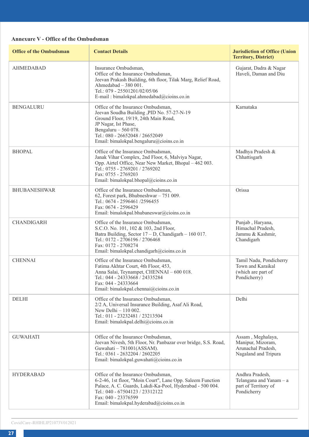# **Annexure V - Office of the Ombudsman**

| <b>Office of the Ombudsman</b> | <b>Contact Details</b>                                                                                                                                                                                                                                              | <b>Jurisdiction of Office (Union</b><br><b>Territory, District)</b>                  |
|--------------------------------|---------------------------------------------------------------------------------------------------------------------------------------------------------------------------------------------------------------------------------------------------------------------|--------------------------------------------------------------------------------------|
| <b>AHMEDABAD</b>               | Insurance Ombudsman.<br>Office of the Insurance Ombudsman,<br>Jeevan Prakash Building, 6th floor, Tilak Marg, Relief Road,<br>Ahmedabad $-380001$ .<br>Tel.: 079 - 25501201/02/05/06<br>E-mail: bimalokpal.ahmedabad@cioins.co.in                                   | Gujarat, Dadra & Nagar<br>Haveli, Daman and Diu                                      |
| <b>BENGALURU</b>               | Office of the Insurance Ombudsman,<br>Jeevan Soudha Building , PID No. 57-27-N-19<br>Ground Floor, 19/19, 24th Main Road,<br>JP Nagar, Ist Phase,<br>Bengaluru - 560 078.<br>Tel.: 080 - 26652048 / 26652049<br>Email: bimalokpal.bengaluru@cioins.co.in            | Karnataka                                                                            |
| <b>BHOPAL</b>                  | Office of the Insurance Ombudsman,<br>Janak Vihar Complex, 2nd Floor, 6, Malviya Nagar,<br>Opp. Airtel Office, Near New Market, Bhopal – 462 003.<br>Tel.: 0755 - 2769201 / 2769202<br>Fax: 0755 - 2769203<br>Email: bimalokpal.bhopal@cioins.co.in                 | Madhya Pradesh &<br>Chhattisgarh                                                     |
| <b>BHUBANESHWAR</b>            | Office of the Insurance Ombudsman,<br>62, Forest park, Bhubneshwar - 751 009.<br>Tel.: 0674 - 2596461 /2596455<br>Fax: 0674 - 2596429<br>Email: bimalokpal.bhubaneswar@cioins.co.in                                                                                 | Orissa                                                                               |
| <b>CHANDIGARH</b>              | Office of the Insurance Ombudsman,<br>S.C.O. No. 101, 102 & 103, 2nd Floor,<br>Batra Building, Sector 17 - D, Chandigarh - 160 017.<br>Tel.: 0172 - 2706196 / 2706468<br>Fax: 0172 - 2708274<br>Email: bimalokpal.chandigarh@cioins.co.in                           | Punjab, Haryana,<br>Himachal Pradesh,<br>Jammu & Kashmir,<br>Chandigarh              |
| <b>CHENNAI</b>                 | Office of the Insurance Ombudsman,<br>Fatima Akhtar Court, 4th Floor, 453,<br>Anna Salai, Teynampet, CHENNAI - 600 018.<br>Tel.: 044 - 24333668 / 24335284<br>Fax: 044 - 24333664<br>Email: bimalokpal.chennai@cioins.co.in                                         | Tamil Nadu, Pondicherry<br>Town and Karaikal<br>(which are part of<br>Pondicherry)   |
| <b>DELHI</b>                   | Office of the Insurance Ombudsman,<br>2/2 A, Universal Insurance Building, Asaf Ali Road,<br>New Delhi $-110002$ .<br>Tel.: 011 - 23232481 / 23213504<br>Email: bimalokpal.delhi@cioins.co.in                                                                       | Delhi                                                                                |
| <b>GUWAHATI</b>                | Office of the Insurance Ombudsman,<br>Jeevan Nivesh, 5th Floor, Nr. Panbazar over bridge, S.S. Road,<br>Guwahati - 781001(ASSAM).<br>Tel.: 0361 - 2632204 / 2602205<br>Email: bimalokpal.guwahati@cioins.co.in                                                      | Assam, Meghalaya,<br>Manipur, Mizoram,<br>Arunachal Pradesh,<br>Nagaland and Tripura |
| <b>HYDERABAD</b>               | Office of the Insurance Ombudsman,<br>6-2-46, 1st floor, "Moin Court", Lane Opp. Saleem Function<br>Palace, A. C. Guards, Lakdi-Ka-Pool, Hyderabad - 500 004.<br>Tel.: 040 - 67504123 / 23312122<br>Fax: 040 - 23376599<br>Email: bimalokpal.hyderabad@cioins.co.in | Andhra Pradesh,<br>Telangana and Yanam - a<br>part of Territory of<br>Pondicherry    |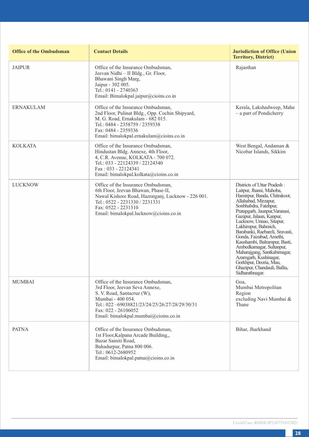| <b>Office of the Ombudsman</b> | <b>Contact Details</b>                                                                                                                                                                                                                   | <b>Jurisdiction of Office (Union</b><br><b>Territory, District)</b>                                                                                                                                                                                                                                                                                                                                                                                                                                                         |
|--------------------------------|------------------------------------------------------------------------------------------------------------------------------------------------------------------------------------------------------------------------------------------|-----------------------------------------------------------------------------------------------------------------------------------------------------------------------------------------------------------------------------------------------------------------------------------------------------------------------------------------------------------------------------------------------------------------------------------------------------------------------------------------------------------------------------|
| <b>JAIPUR</b>                  | Office of the Insurance Ombudsman,<br>Jeevan Nidhi - II Bldg., Gr. Floor,<br>Bhawani Singh Marg,<br>Jaipur - 302 005.<br>Tel.: 0141 - 2740363<br>Email: Bimalokpal.jaipur@cioins.co.in                                                   | Rajasthan                                                                                                                                                                                                                                                                                                                                                                                                                                                                                                                   |
| <b>ERNAKULAM</b>               | Office of the Insurance Ombudsman,<br>2nd Floor, Pulinat Bldg., Opp. Cochin Shipyard,<br>M. G. Road, Ernakulam - 682 015.<br>Tel.: 0484 - 2358759 / 2359338<br>Fax: 0484 - 2359336<br>Email: bimalokpal.ernakulam@cioins.co.in           | Kerala, Lakshadweep, Mahe<br>- a part of Pondicherry                                                                                                                                                                                                                                                                                                                                                                                                                                                                        |
| <b>KOLKATA</b>                 | Office of the Insurance Ombudsman,<br>Hindustan Bldg. Annexe, 4th Floor,<br>4, C.R. Avenue, KOLKATA - 700 072.<br>Tel.: 033 - 22124339 / 22124340<br>Fax: 033 - 22124341<br>Email: bimalokpal.kolkata@cioins.co.in                       | West Bengal, Andaman &<br>Nicobar Islands, Sikkim                                                                                                                                                                                                                                                                                                                                                                                                                                                                           |
| <b>LUCKNOW</b>                 | Office of the Insurance Ombudsman.<br>6th Floor, Jeevan Bhawan, Phase-II,<br>Nawal Kishore Road, Hazratganj, Lucknow - 226 001.<br>Tel.: 0522 - 2231330 / 2231331<br>Fax: 0522 - 2231310<br>Email: bimalokpal.lucknow@cioins.co.in       | Districts of Uttar Pradesh:<br>Laitpur, Jhansi, Mahoba,<br>Hamirpur, Banda, Chitrakoot,<br>Allahabad, Mirzapur,<br>Sonbhabdra, Fatehpur,<br>Pratapgarh, Jaunpur, Varanasi,<br>Gazipur, Jalaun, Kanpur,<br>Lucknow, Unnao, Sitapur,<br>Lakhimpur, Bahraich,<br>Barabanki, Raebareli, Sravasti,<br>Gonda, Faizabad, Amethi,<br>Kaushambi, Balrampur, Basti,<br>Ambedkamagar, Sultanpur,<br>Maharajgang, Santkabirnagar,<br>Azamgarh, Kushinagar,<br>Gorkhpur, Deoria, Mau,<br>Ghazipur, Chandauli, Ballia,<br>Sidharathnagar. |
| <b>MUMBAI</b>                  | Office of the Insurance Ombudsman,<br>3rd Floor, Jeevan Seva Annexe,<br>S. V. Road, Santacruz (W),<br>Mumbai - 400 054.<br>Tel.: 022-69038821/23/24/25/26/27/28/29/30/31<br>Fax: 022 - 26106052<br>Email: bimalokpal.mumbai@cioins.co.in | Goa,<br>Mumbai Metropolitan<br>Region<br>excluding Navi Mumbai &<br>Thane                                                                                                                                                                                                                                                                                                                                                                                                                                                   |
| <b>PATNA</b>                   | Office of the Insurance Ombudsman,<br>1st Floor, Kalpana Arcade Building<br>Bazar Samiti Road,<br>Bahadurpur, Patna 800 006.<br>Tel.: 0612-2680952<br>Email: bimalokpal.patna@cioins.co.in                                               | Bihar, Jharkhand                                                                                                                                                                                                                                                                                                                                                                                                                                                                                                            |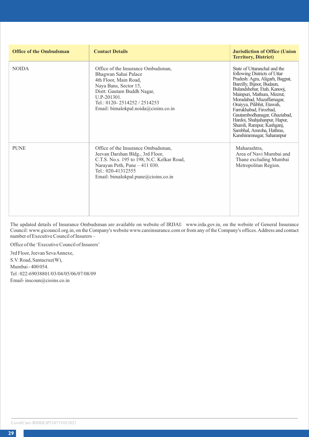| <b>Office of the Ombudsman</b> | <b>Contact Details</b>                                                                                                                                                                                                              | <b>Jurisdiction of Office (Union</b><br><b>Territory, District)</b>                                                                                                                                                                                                                                                                                                                                                                    |
|--------------------------------|-------------------------------------------------------------------------------------------------------------------------------------------------------------------------------------------------------------------------------------|----------------------------------------------------------------------------------------------------------------------------------------------------------------------------------------------------------------------------------------------------------------------------------------------------------------------------------------------------------------------------------------------------------------------------------------|
| <b>NOIDA</b>                   | Office of the Insurance Ombudsman.<br>Bhagwan Sahai Palace<br>4th Floor, Main Road,<br>Naya Bans, Sector 15,<br>Distt: Gautam Buddh Nagar,<br>$U.P-201301.$<br>Tel.: 0120-2514252 / 2514253<br>Email: bimalokpal.noida@cioins.co.in | State of Uttaranchal and the<br>following Districts of Uttar<br>Pradesh: Agra, Aligarh, Bagpat,<br>Bareilly, Bijnor, Budaun,<br>Bulandshehar, Etah, Kanooj,<br>Mainpuri, Mathura, Meerut,<br>Moradabad, Muzaffarnagar,<br>Oraiyya, Pilibhit, Etawah,<br>Farrukhabad, Firozbad,<br>Gautambodhanagar, Ghaziabad,<br>Hardoi, Shahjahanpur, Hapur,<br>Shamli, Rampur, Kashganj,<br>Sambhal, Amroha, Hathras,<br>Kanshiramnagar, Saharanpur |
| <b>PUNE</b>                    | Office of the Insurance Ombudsman.<br>Jeevan Darshan Bldg., 3rd Floor,<br>C.T.S. No.s. 195 to 198, N.C. Kelkar Road,<br>Narayan Peth, Pune - 411 030.<br>Tel.: 020-41312555<br>Email: bimalokpal.pune@cioins.co.in                  | Maharashtra.<br>Area of Navi Mumbai and<br>Thane excluding Mumbai<br>Metropolitan Region.                                                                                                                                                                                                                                                                                                                                              |

The updated details of Insurance Ombudsman are available on website of IRDAI: www.irda.gov.in, on the website of General Insurance Council: www.gicouncil.org.in, on the Company's website www.careinsurance.com or from any of the Company's offices. Address and contact number of Executive Council of Insurers –

Office of the 'Executive Council of Insurers'

3rd Floor, Jeevan Seva Annexe, S.V. Road, Santacruz(W), Mumbai - 400 054. Tel : 022-69038801/03/04/05/06/07/08/09 Email- inscoun@cioins.co.in